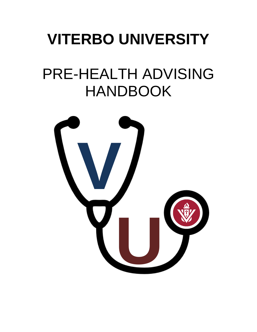# **VITERBO UNIVERSITY**

# PRE-HEALTH ADVISING HANDBOOK

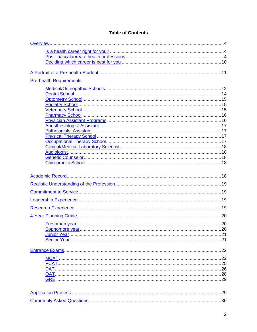# **Table of Contents**

| <b>Pre-health Requirements</b> |  |
|--------------------------------|--|
|                                |  |
|                                |  |
|                                |  |
|                                |  |
|                                |  |
|                                |  |
|                                |  |
|                                |  |
|                                |  |
|                                |  |
|                                |  |
|                                |  |
|                                |  |
|                                |  |
|                                |  |
|                                |  |
|                                |  |
|                                |  |
|                                |  |
|                                |  |
|                                |  |
|                                |  |
|                                |  |
|                                |  |
|                                |  |
|                                |  |
|                                |  |
|                                |  |
|                                |  |
|                                |  |
|                                |  |
|                                |  |
|                                |  |
|                                |  |
|                                |  |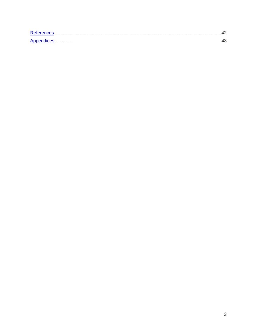<span id="page-2-0"></span>

| Reference  |  |
|------------|--|
| Appendices |  |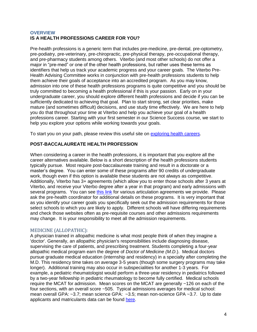# <span id="page-3-0"></span>**OVERVIEW IS A HEALTH PROFESSIONS CAREER FOR YOU?**

Pre-health professions is a generic term that includes pre-medicine, pre-dental, pre-optometry, pre-podiatry, pre-veterinary, pre-chiropractic, pre-physical therapy, pre-occupational therapy, and pre-pharmacy students among others. Viterbo (and most other schools) do not offer a major in "pre-med" or one of the other health professions, but rather uses these terms as identifiers that help us track your academic progress and your career goals. The Viterbo Pre-Health Advising Committee works in conjunction with pre-health professions students to help them achieve their goals of acceptance into an accredited program. As you may know, admission into one of these health professions programs is quite competitive and you should be truly committed to becoming a health professional if this is your passion. Early on in your undergraduate career, you should explore different health professions and decide if you can be sufficiently dedicated to achieving that goal. Plan to start strong, set clear priorities, make mature (and sometimes difficult) decisions, and use study time effectively. We are here to help you do that throughout your time at Viterbo and help you achieve your goal of a health professions career. Starting with your first semester in our Science Success course, we start to help you explore your options while working towards your goals.

To start you on your path, please review this useful site on [exploring health careers.](https://explorehealthcareers.org/)

# <span id="page-3-1"></span>**POST-BACCALAUREATE HEALTH PROFESSION**

When considering a career in the health professions, it is important that you explore all the career alternatives available. Below is a short description of the health professions students typically pursue. Most require post-baccalaureate training and result in a doctorate or a master's degree. You can enter some of these programs after 90 credits of undergraduate work, though even if this option is available these students are not always as competitive. Additionally, Viterbo has 3+ agreements (which allow you to enter those schools after 3 years at Viterbo, and receive your Viterbo degree after a year in that program) and early admissions with several programs. You can see [this link](http://www.viterbo.edu/pre-health-professions/articulation-agreements) for various articulation agreements we provide. Please ask the pre-health coordinator for additional details on these programs. It is very important that as you identify your career goals you specifically seek out the admission requirements for those select schools to which you are likely to apply. Different schools will have differing requirements and check those websites often as pre-requisite courses and other admissions requirements may change. It is your responsibility to meet all the admission requirements.

# <span id="page-3-2"></span>MEDICINE (ALLOPATHIC):

A physician trained in allopathic medicine is what most people think of when they imagine a 'doctor'. Generally, an allopathic physician's responsibilities include diagnosing disease, supervising the care of patients, and prescribing treatment. Students completing a four-year allopathic medical program earn the degree of *Doctor of Medicine (M.D*.). Medical doctors pursue graduate medical education (internship and residency) in a specialty after completing the M.D. This residency time takes on average 3-5 years (though some surgery programs may take longer). Additional training may also occur in subspecialities for another 1-3 years. For example, a pediatric rheumatologist would perform a three-year residency in pediatrics followed by a two-year fellowship in pediatric rheumatology to become fully certified. Medical schools require the MCAT for admission. Mean scores on the MCAT are generally ~126 on each of the four sections, with an overall score ~505. Typical admissions averages for medical school: mean overall GPA: ~3.7; mean science GPA: ~3.5; mean non-science GPA ~3.7. Up to date applicants and matriculants data can be found [here.](https://www.aamc.org/data/facts/applicantmatriculant/)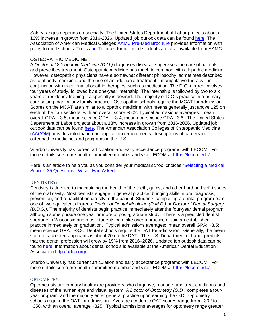Salary ranges depends on specialty. The United States Department of Labor projects about a 13% increase in growth from 2016-2026. Updated job outlook data can be found [here.](https://www.bls.gov/ooh/a-z-index.htm) The Association of American Medical Colleges [AAMC Pre-Med Brochure](https://aamc-orange.global.ssl.fastly.net/production/media/filer_public/82/b4/82b4701e-2f8d-4c73-a047-977cd0373241/premed.pdf) provides information with paths to med schools. [Tools and Tutorials](https://students-residents.aamc.org/applying-medical-school/applying-medical-school-process/applying-medical-school-amcas/amcas-tools-and-tutorials/) for pre-med students are also available from AAMC.

# OSTEOPATHIC MEDICINE:

A *Doctor of Osteopathic Medicine (D.O.)* diagnoses disease, supervises the care of patients, and prescribes treatment. Osteopathic medicine has much in common with allopathic medicine. However, osteopathic physicians have a somewhat different philosophy, sometimes described as total body medicine, and the use of an additional treatment—manipulative therapy—in conjunction with traditional allopathic therapies, such as medication. The D.O. degree involves four years of study, followed by a one-year internship. The internship is followed by two to six years of residency training if a specialty is desired. The majority of D.O.s practice in a primarycare setting, particularly family practice. Osteopathic schools require the MCAT for admission. Scores on the MCAT are similar to allopathic medicine, with means generally just above 125 on each of the four sections, with an overall score ~502. Typical admissions averages: mean overall GPA: ~3.5; mean science GPA: ~3.4; mean non-science GPA ~3.6. The United States Department of Labor projects about a 13% increase in growth from 2016-2026. Updated job outlook data can be found [here.](https://www.bls.gov/ooh/a-z-index.htm) The American Association Colleges of Osteopathic Medicine [\(AACOM\)](https://www.aacom.org/become-a-doctor) provides information on application requirements, descriptions of careers in osteopathic medicine, and programs in the U.S.

Viterbo University has current articulation and early acceptance programs with LECOM. For more details see a pre-health committee member and visit LECOM at<https://lecom.edu/>

Here is an article to help you as you consider your medical school choices ["Selecting a Medical](https://students-residents.aamc.org/applying-medical-school/article/selecting-medical-school-35-questions-i-wish-i-had/)  [School: 35 Questions I Wish I Had Asked"](https://students-residents.aamc.org/applying-medical-school/article/selecting-medical-school-35-questions-i-wish-i-had/)

# <span id="page-4-0"></span>DENTISTRY:

Dentistry is devoted to maintaining the health of the teeth, gums, and other hard and soft tissues of the oral cavity. Most dentists engage in general practice, bringing skills in oral diagnosis, prevention, and rehabilitation directly to the patient. Students completing a dental program earn one of two equivalent degrees: *Doctor of Dental Medicine (D.M.D.)* or *Doctor of Dental Surgery (D.D.S.)*. The majority of dentists begin practice immediately after the four-year dental program, although some pursue one year or more of post-graduate study. There is a predicted dentist shortage in Wisconsin and most students can take over a practice or join an established practice immediately on graduation. Typical admissions averages: mean overall GPA: ~3.5; mean science GPA: ~3.3. Dental schools require the DAT for admission. Generally, the mean score of accepted applicants is about 20 on the DAT. The U.S. Department of Labor predicts that the dental profession will grow by 19% from 2016–2026. Updated job outlook data can be found [here.](https://www.bls.gov/ooh/a-z-index.htm) Information about dental schools is available at the American Dental Education Association [http://adea.org/.](http://adea.org/)

Viterbo University has current articulation and early acceptance programs with LECOM. For more details see a pre-health committee member and visit LECOM at<https://lecom.edu/>

# <span id="page-4-1"></span>OPTOMETRY:

Optometrists are primary healthcare providers who diagnose, manage, and treat conditions and diseases of the human eye and visual system. A *Doctor of Optometry (O.D.)* completes a fouryear program, and the majority enter general practice upon earning the O.D. Optometry schools require the OAT for admission. Average academic OAT scores range from ~302 to ~358, with an overall average ~325. Typical admissions averages for optometry range greater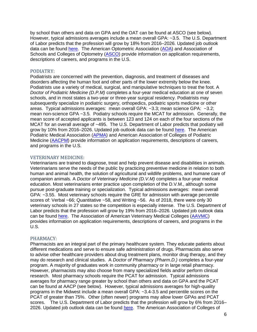by school than others and data on GPA and the OAT can be found at ASCO (see below). However, typical admissions averages include a mean overall GPA: ~3.5. The U.S. Department of Labor predicts that the profession will grow by 18% from 2016–2026. Updated job outlook data can be found [here.](https://www.bls.gov/ooh/a-z-index.htm) The American Optometric Association [\(AOA\)](https://www.aoa.org/) and Association of Schools and Colleges of Optometry [\(ASCO\)](https://optometriceducation.org/) provide information on application requirements, descriptions of careers, and programs in the U.S.

# <span id="page-5-0"></span>PODIATRY:

Podiatrists are concerned with the prevention, diagnosis, and treatment of diseases and disorders affecting the human foot and other parts of the lower extremity below the knee. Podiatrists use a variety of medical, surgical, and manipulative techniques to treat the foot. A *Doctor of Podiatric Medicine (D.P.M)* completes a four-year medical education at one of seven schools, and in most states a two-year or three-year surgical residency. Podiatrists may subsequently specialize in podiatric surgery, orthopedics, podiatric sports medicine or other areas. Typical admissions averages: mean overall GPA: ~3.3; mean science GPA: ~3.2; mean non-science GPA ~3.5. Podiatry schools require the MCAT for admission. Generally, the mean score of accepted applicants is between 123 and 124 on each of the four sections of the MCAT for an overall average of ~495. The U.S. Department of Labor predicts that podiatry will grow by 10% from 2016–2026. Updated job outlook data can be found [here.](https://www.bls.gov/ooh/a-z-index.htm) The American Podiatric Medical Association [\(APMA\)](https://www.apma.org/) and American Association of Colleges of Podiatric Medicine [\(AACPM\)](http://www.aacpm.org/) provide information on application requirements, descriptions of careers, and programs in the U.S.

# <span id="page-5-1"></span>VETERINARY MEDICINE:

Veterinarians are trained to diagnose, treat and help prevent disease and disabilities in animals. Veterinarians serve the needs of the public by practicing preventive medicine in relation to both human and animal health, the solution of agricultural and wildlife problems, and humane care of companion animals. A *Doctor of Veterinary Medicine (D.V.M)* completes a four-year medical education. Most veterinarians enter practice upon completion of the D.V.M., although some pursue post-graduate training or specialization. Typical admissions averages: mean overall GPA: ~3.55. Most veterinary schools require the GRE for admission with average percentile scores of: Verbal ~66; Quantitative ~58, and Writing ~56. As of 2018, there were only 30 veterinary schools in 27 states so the competition is especially intense. The U.S. Department of Labor predicts that the profession will grow by 19% from 2016–2026. Updated job outlook data can be found [here.](https://www.bls.gov/ooh/a-z-index.htm) The Association of American Veterinary Medical Colleges [\(AAVMC\)](http://www.aavmc.org/) provides information on application requirements, descriptions of careers, and programs in the U.S.

# <span id="page-5-2"></span>PHARMACY:

Pharmacists are an integral part of the primary healthcare system. They educate patients about different medications and serve to ensure safe administration of drugs. Pharmacists also serve to advise other healthcare providers about drug treatment plans, monitor drug therapy, and they may do research and clinical studies. A *Doctor of Pharmacy (Pharm.D.)* completes a four-year program. A majority of graduates work in community pharmacy or in large retail pharmacy. However, pharmacists may also choose from many specialized fields and/or perform clinical research. Most pharmacy schools require the PCAT for admission. Typical admissions averages for pharmacy range greater by school than others and data on GPA and the PCAT can be found at AACP (see below). However, typical admissions averages for high-quality programs in the Midwest include a mean overall GPA: ~3.4-3.5 and percentile scores on the PCAT of greater than 75%. Other (often newer) programs may allow lower GPAs and PCAT scores. The U.S. Department of Labor predicts that the profession will grow by 6% from 2016– 2026. Updated job outlook data can be found [here.](https://www.bls.gov/ooh/a-z-index.htm) The American Association of Colleges of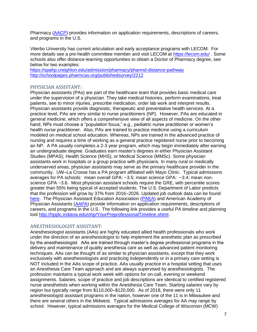Pharmacy [\(AACP\)](https://www.aacp.org/) provides information on application requirements, descriptions of careers, and programs in the U.S.

Viterbo University has current articulation and early acceptance programs with LECOM. For more details see a pre-health committee member and visit LECOM at<https://lecom.edu/> . Some schools also offer distance-learning opportunities to obtain a Doctor of Pharmacy degree, see below for two examples:

<https://spahp.creighton.edu/admission/pharmacy/pharmd-distance-pathway> <http://schoolpages.pharmcas.org/publishedsurvey/2212>

# <span id="page-6-0"></span>PHYSICIAN ASSISTANT:

Physician assistants (PAs) are part of the healthcare team that provides basic medical care under the supervision of a physician. They take medical histories, perform examinations, treat patients, see to minor injuries, prescribe medication, order lab work and interpret results. Physician assistants provide diagnostic, therapeutic and preventative health services. At a practice level, PAs are very similar to nurse practitioners (NP). However, PAs are educated in general medicine, which offers a comprehensive view of all aspects of medicine. On the other hand, NPs must choose a "population focus," e.g., pediatric nurse practitioner or women's health nurse practitioner. Also, PAs are trained to practice medicine using a curriculum modeled on medical school education. Whereas, NPs are trained in the advanced practice of nursing and requires a time of working as a general practice registered nurse prior to becoming an NP. A PA usually completes a 2-3 year program, which may begin immediately after earning an undergraduate degree. Graduates earn master's degrees in either Physician Assistant Studies (MPAS), Health Science (MHS), or Medical Science (MMSc). Some physician assistants work in hospitals or a group practice with physicians. In many rural or medically underserved areas, physician assistants may serve as the primary healthcare provider in the community. UW–La Crosse has a PA program affiliated with Mayo Clinic. Typical admissions averages for PA schools: mean overall GPA: ~3.5; mean science GPA: ~3.4; mean nonscience GPA ~3.6. Most physician assistant schools require the GRE, with percentile scores greater than 55% being typical of accepted students. The U.S. Department of Labor predicts that the profession will grow by 37% from 2016–2026. Updated job outlook data can be found [here.](https://www.bls.gov/ooh/a-z-index.htm) The Physician Assistant Education Association [\(PAEA\)](http://paeaonline.org/) and American Academy of Physician Assistants [\(AAPA\)](https://www.aapa.org/) provide information on application requirements, descriptions of careers, and programs in the U.S. The following link provides a useful PA timeline and planning tool [http://hpplc.indiana.edu/ohp/YourPreprofessionalTimeline.shtml.](http://hpplc.indiana.edu/ohp/YourPreprofessionalTimeline.shtml)

# <span id="page-6-1"></span>ANESTHESIOLOGIST ASSISTANT:

Anesthesiologist assistants (AAs) are highly educated allied health professionals who work under the direction of an anesthesiologist to help implement the anesthetic plan as prescribed by the anesthesiologist. AAs are trained through master's degree professional programs in the delivery and maintenance of quality anesthesia care as well as advanced patient monitoring techniques. AAs can be thought of as similar to physician assistants, except that they work exclusively with anesthesiologists and practicing independently or in a primary care setting is NOT included in the AAs scope of practice. AAs usually practice in a hospital setting that uses an Anesthesia Care Team approach and are always supervised by anesthesiologists. The profession maintains a typical work week with options for on-call, evening or weekend assignments. Salaries, scope of practice and job descriptions are identical to certified registered nurse anesthetists when working within the Anesthesia Care Team. Starting salaries vary by region but typically range from \$110,000–\$120,000. As of 2018, there were only 11 anesthesiologist assistant programs in the nation, however one of the 11 is in Milwaukee and there are several others in the Midwest. Typical admissions averages for AA may range by school. However, typical admissions averages for the Medical College of Wisconsin (MCW)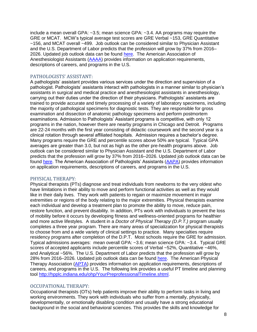include a mean overall GPA: ~3.5; mean science GPA: ~3.4. AA programs may require the GRE or MCAT. MCW's typical average test scores are GRE Verbal ~153, GRE Quantitative ~156, and MCAT overall ~499. Job outlook can be considered similar to Physician Assistant and the U.S. Department of Labor predicts that the profession will grow by 37% from 2016– 2026. Updated job outlook data can be found [here.](https://www.bls.gov/ooh/a-z-index.htm) The American Association of Anesthesiologist Assistants [\(AAAA\)](https://aaaa.memberclicks.net/home) provides information on application requirements, descriptions of careers, and programs in the U.S.

#### <span id="page-7-0"></span>PATHOLOGISTS' ASSISTANT:

A pathologists' assistant provides various services under the direction and supervision of a pathologist. Pathologists' assistants interact with pathologists in a manner similar to physician's assistants in surgical and medical practice and anesthesiologist assistants in anesthesiology, carrying out their duties under the direction of their physicians. Pathologists' assistants are trained to provide accurate and timely processing of a variety of laboratory specimens, including the majority of pathological specimens for diagnostic tests. They are responsible for gross examination and dissection of anatomic pathology specimens and perform postmortem examinations. Admission to Pathologists' Assistant programs is competitive, with only 12 programs in the nation, however there are nearby programs in Chicago and Detroit. Programs are 22-24 months with the first year consisting of didactic coursework and the second year is a clinical rotation through several affiliated hospitals. Admission requires a bachelor's degree. Many programs require the GRE and percentile scores above 50% are typical. Typical GPA averages are greater than 3.0, but not as high as the other pre-health programs above. Job outlook can be considered similar to Physician Assistant and the U.S. Department of Labor predicts that the profession will grow by 37% from 2016–2026. Updated job outlook data can be found [here.](https://www.bls.gov/ooh/a-z-index.htm) The American Association of Pathologists' Assistants [\(AAPA\)](https://www.pathassist.org/) provides information on application requirements, descriptions of careers, and programs in the U.S.

#### <span id="page-7-1"></span>PHYSICAL THERAPY:

Physical therapists (PTs) diagnose and treat individuals from newborns to the very oldest who have limitations in their ability to move and perform functional activities as well as they would like in their daily lives. They work with patients to regain or maximize movement in major extremities or regions of the body relating to the major extremities. Physical therapists examine each individual and develop a treatment plan to promote the ability to move, reduce pain, restore function, and prevent disability. In addition, PTs work with individuals to prevent the loss of mobility before it occurs by developing fitness and wellness-oriented programs for healthier and more active lifestyles. A student in a *Doctor of Physical Therapy (D.P.T.)* program usually completes a three year program. There are many areas of specialization for physical therapists to choose from and a wide variety of clinical settings to practice. Many specialties require residency programs after completion of the D.P.T. Most schools require the GRE for admission. Typical admissions averages: mean overall GPA: ~3.6; mean science GPA: ~3.4. Typical GRE scores of accepted applicants include percentile scores of Verbal ~52%, Quantitative ~46%, and Analytical ~56%. The U.S. Department of Labor predicts that the profession will grow by 28% from 2016–2026. Updated job outlook data can be found [here.](https://www.bls.gov/ooh/a-z-index.htm) The American Physical Therapy Association [\(APTA\)](https://www.apta.org/) provides information on application requirements, descriptions of careers, and programs in the U.S. The following link provides a useful PT timeline and planning tool [http://hpplc.indiana.edu/ohp/YourPreprofessionalTimeline.shtml.](http://hpplc.indiana.edu/ohp/YourPreprofessionalTimeline.shtml)

#### <span id="page-7-2"></span>OCCUPATIONAL THERAPY:

Occupational therapists (OTs) help patients improve their ability to perform tasks in living and working environments. They work with individuals who suffer from a mentally, physically, developmentally, or emotionally disabling condition and usually have a strong educational background in the social and behavioral sciences. This provides the skills and knowledge for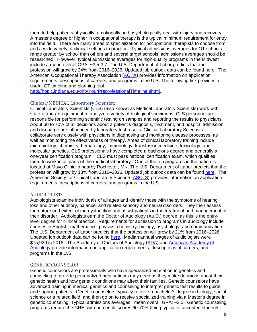them to help patients physically, emotionally and psychologically deal with injury and recovery. A master's degree or higher in occupational therapy is the typical minimum requirement for entry into the field. There are many areas of specialization for occupational therapists to choose from and a wide variety of clinical settings to practice. Typical admissions averages for OT schools range greater by school than others and several target schools' admissions averages should be researched. However, typical admissions averages for high-quality programs in the Midwest include a mean overall GPA: ~3.5-3.7. The U.S. Department of Labor predicts that the profession will grow by 24% from 2016–2026. Updated job outlook data can be found [here.](https://www.bls.gov/ooh/a-z-index.htm) The American Occupational Therapy Association [\(AOTA\)](https://www.aota.org/) provides information on application requirements, descriptions of careers, and programs in the U.S. The following link provides a useful OT timeline and planning tool

[http://hpplc.indiana.edu/ohp/YourPreprofessionalTimeline.shtml.](http://hpplc.indiana.edu/ohp/YourPreprofessionalTimeline.shtml)

# <span id="page-8-0"></span>Clinical/MEDICAL Laboratory Scientist:

Clinical Laboratory Scientists (CLS) (also known as Medical Laboratory Scientists) work with state-of-the-art equipment to analyze a variety of biological specimens. CLS personnel are responsible for performing scientific testing on samples and reporting the results to physicians. About 60 to 70% of all decisions about a patient's diagnosis, treatment, and hospital admission and discharge are influenced by laboratory test results. Clinical Laboratory Scientists collaborate very closely with physicians in diagnosing and monitoring disease processes, as well as monitoring the effectiveness of therapy. Areas of clinical laboratory training include microbiology, chemistry, hematology, immunology, transfusion medicine, toxicology, and molecular genetics. CLS professionals have completed a bachelor's degree and generally a one-year certification program. CLS must pass national certification exam, which qualifies them to work in all parts of the medical laboratory. One of the top programs in the nation is located at Mayo Clinic in nearby Rochester, MN. The U.S. Department of Labor predicts that the profession will grow by 13% from 2016–2026. Updated job outlook data can be found [here.](https://www.bls.gov/ooh/a-z-index.htm) The American Society for Clinical Laboratory Science [\(ASCLS\)](http://www.ascls.org/) provides information on application requirements, descriptions of careers, and programs in the U.S.

# <span id="page-8-1"></span>AUDIOLOGIST:

Audiologists examine individuals of all ages and identify those with the symptoms of hearing loss and other auditory, balance, and related sensory and neural disorders. They then assess the nature and extent of the dysfunction and assist patients in the treatment and management of their disorder. Audiologists earn the Doctor of Audiology (Au.D.) degree, as this is the entrylevel degree for clinical practice. Requirements for admission to programs in audiology include courses in English, mathematics, physics, chemistry, biology, psychology, and communication. The U.S. Department of Labor predicts that the profession will grow by 21% from 2016–2026. Updated job outlook data can be found [here.](https://www.bls.gov/ooh/a-z-index.htm) Median annual wages of audiologists were \$75,920 in 2018. The Academy of Doctors of Audiology [\(ADA\)](https://www.audiologist.org/) and [American Academy of](https://www.audiology.org/)  [Audiology](https://www.audiology.org/) provide information on application requirements, descriptions of careers, and programs in the U.S.

# <span id="page-8-2"></span>GENETIC COUNSELOR:

Genetic counselors are professionals who have specialized education in genetics and counseling to provide personalized help patients may need as they make decisions about their genetic health and how genetic conditions may affect their families. Genetic counselors have advanced training in medical genetics and counseling to interpret genetic test results to guide and support patients. Genetic counselors typically receive a bachelor's degree in biology, social science or a related field, and then go on to receive specialized training via a Master's degree in genetic counseling. Typical admissions averages: mean overall GPA: ~3.5. Genetic counseling programs require the GRE, with percentile scores 60-70% being typical of accepted students.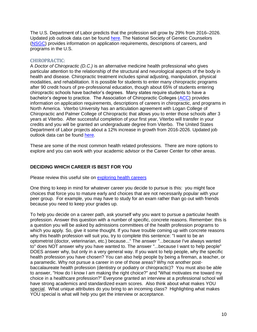The U.S. Department of Labor predicts that the profession will grow by 29% from 2016–2026. Updated job outlook data can be found [here.](https://www.bls.gov/ooh/a-z-index.htm) The National Society of Genetic Counselors [\(NSGC\)](https://www.nsgc.org/) provides information on application requirements, descriptions of careers, and programs in the U.S.

# <span id="page-9-1"></span>CHIROPRACTIC:

A *Doctor of Chiropractic (D.C.)* is an alternative medicine health professional who gives particular attention to the relationship of the structural and neurological aspects of the body in health and disease. Chiropractic treatment includes spinal adjusting, manipulation, physical modalities, and rehabilitation. It is possible for students to enter many chiropractic programs after 90 credit hours of pre-professional education, though about 65% of students entering chiropractic schools have bachelor's degrees. Many states require students to have a bachelor's degree to practice. The Association of Chiropractic Colleges [\(ACC\)](http://www.chirocolleges.org/) provides information on application requirements, descriptions of careers in chiropractic, and programs in North America. Viterbo University has an articulation agreement with Logan College of Chiropractic and Palmer College of Chiropractic that allows you to enter those schools after 3 years at Viterbo. After successful completion of your first year, Viterbo will transfer in your credits and you will be granted an undergraduate degree from Viterbo. The United States Department of Labor projects about a 12% increase in growth from 2016-2026. Updated job outlook data can be found [here.](https://www.bls.gov/ooh/a-z-index.htm)

These are some of the most common health related professions. There are more options to explore and you can work with your academic advisor or the Career Center for other areas.

# <span id="page-9-0"></span>**DECIDING WHICH CAREER IS BEST FOR YOU**

Please review this useful site on [exploring health careers](https://explorehealthcareers.org/)

One thing to keep in mind for whatever career you decide to pursue is this: you might face choices that force you to mature early and choices that are not necessarily popular with your peer group. For example, you may have to study for an exam rather than go out with friends because you need to keep your grades up.

To help you decide on a career path, ask yourself why you want to pursue a particular health profession. Answer this question with a number of specific, concrete reasons. Remember: this is a question you will be asked by admissions committees of the health profession programs to which you apply. So, give it some thought. If you have trouble coming up with concrete reasons why this health profession will suit you, try to complete this sentence: "I want to be an optometrist (doctor, veterinarian, etc.) because..." The answer "...because I've always wanted to" does NOT answer why you have wanted to. The answer "...because I want to help people" DOES answer why, but only in a very general way. If you want to help people, why the specific health profession you have chosen? You can also help people by being a fireman, a teacher, or a paramedic. Why not pursue a career in one of those areas? Why not another postbaccalaureate health profession (dentistry or podiatry or chiropractic)? You must also be able to answer, "How do I know I am making the right choice?" and "What motivates me toward my choice in a healthcare profession?" Everyone granted an interview at a professional school will have strong academics and standardized exam scores. Also think about what makes YOU special. What unique attributes do you bring to an incoming class? Highlighting what makes YOU special is what will help you get the interview or acceptance.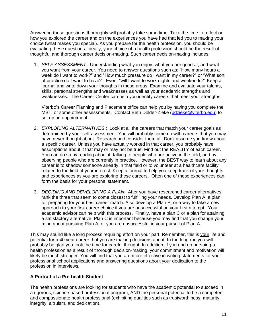Answering these questions thoroughly will probably take some time. Take the time to reflect on how you explored the career and on the experiences you have had that led you to making your choice (what makes you special). As you prepare for the health profession, you should be evaluating these questions. Ideally, your choice of a health profession should be the result of thoughtful and thorough career decision-making. Such career decision-making includes:

1. *SELF-ASSESSMENT*: Understanding what you enjoy, what you are good at, and what you want from your career. You need to answer questions such as: "How many hours a week do I want to work?" and "How much pressure do I want in my career?" or "What sort of practice do I want to have?" Even, "will I want to work nights and weekends?" Keep a journal and write down your thoughts in these areas. Examine and evaluate your talents, skills, personal strengths and weaknesses as well as your academic strengths and weaknesses. The Career Center can help you identify careers that meet your strengths.

Viterbo's Career Planning and Placement office can help you by having you complete the MBTI or some other assessments. Contact Beth Dolder-Zieke [\(bdzieke@viterbo.edu\)](mailto:bdzieke@viterbo.edu) to set up an appointment.

- 2. *EXPLORING ALTERNATIVES* : Look at all the careers that match your career goals as determined by your self-assessment. You will probably come up with careers that you may have never thought about. Research and consider them all. Don't assume you know about a specific career. Unless you have actually worked in that career, you probably have assumptions about it that may or may not be true. Find out the REALITY of each career. You can do so by reading about it, talking to people who are active in the field, and by observing people who are currently in practice. However, the BEST way to learn about any career is to shadow someone already in that field or to volunteer at a healthcare facility related to the field of your interest. Keep a journal to help you keep track of your thoughts and experiences as you are exploring these careers. Often one of these experiences can form the basis for your personal statement.
- 3. *DECIDING AND DEVELOPING A PLAN*: After you have researched career alternatives, rank the three that seem to come closest to fulfilling your needs. Develop Plan A, a plan for preparing for your best career match. Also develop a Plan B, or a way to take a new approach to your first career choice if you are unsuccessful on your first attempt. Your academic advisor can help with this process. Finally, have a plan C or a plan for attaining a satisfactory alternative. Plan C is important because you may find that you change your mind about pursuing Plan A, or you are unsuccessful in your pursuit of Plan A.

This may sound like a long process requiring effort on your part. Remember, this is your life and potential for a 40 year career that you are making decisions about. In the long run you will probably be glad you took the time for careful thought. In addition, if you end up pursuing a health profession as a result of thorough decision-making, your commitment and motivation will likely be much stronger. You will find that you are more effective in writing statements for your professional school applications and answering questions about your dedication to the profession in interviews.

# <span id="page-10-0"></span>**A Portrait of a Pre-health Student**

The health professions are looking for students who have the academic potential to succeed in a rigorous, science-based professional program, AND the personal potential to be a competent and compassionate health professional (exhibiting qualities such as trustworthiness, maturity, integrity, altruism, and dedication).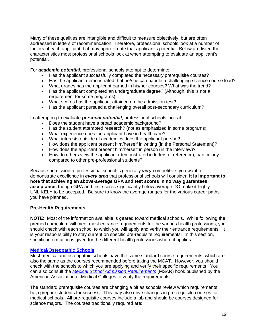Many of these qualities are intangible and difficult to measure objectively, but are often addressed in letters of recommendation. Therefore, professional schools look at a number of factors of each applicant that may approximate that applicant's potential. Below are listed the characteristics most professional schools look at when attempting to evaluate an applicant's potential.

For *academic potential*, professional schools attempt to determine:

- Has the applicant successfully completed the necessary prerequisite courses?
- Has the applicant demonstrated that he/she can handle a challenging science course load?
- What grades has the applicant earned in his/her courses? What was the trend?
- Has the applicant completed an undergraduate degree? (Although, this is not a requirement for some programs)
- What scores has the applicant attained on the admission test?
- Has the applicant pursued a challenging overall post-secondary curriculum?

In attempting to evaluate *personal potential*, professional schools look at:

- Does the student have a broad academic background?
- Has the student attempted research? (not as emphasized in some programs)
- What experience does the applicant have in health care?
- What interests outside of academics does the applicant pursue?
- How does the applicant present him/herself in writing (in the Personal Statement)?
- How does the applicant present him/herself in person (in the interview)?
- How do others view the applicant (demonstrated in letters of reference), particularly compared to other pre-professional students?

Because admission to professional school is generally *very* competitive, you want to demonstrate excellence in *every area* that professional schools will consider. **It is important to note that achieving an above-average GPA and test scores in no way guarantees acceptance,** though GPA and test scores significantly below average DO make it highly UNLIKELY to be accepted. Be sure to know the average ranges for the various career paths you have planned.

# <span id="page-11-0"></span>**Pre-Health Requirements**

**NOTE**: Most of the information available is geared toward medical schools. While following the premed curriculum will meet most entrance requirements for the various health professions, you should check with each school to which you will apply and verify their entrance requirements. It is your responsibility to stay current on specific pre-requisite requirements. In this section, specific information is given for the different health professions where it applies.

# <span id="page-11-1"></span>**[Medical/Osteopathic Schools](#page-3-2)**

Most medical and osteopathic schools have the same standard course requirements, which are also the same as the courses recommended before taking the MCAT. However, you should check with the schools to which you are applying and verify their specific requirements. You can also consult the *[Medical School Admission Requirements](https://students-residents.aamc.org/applying-medical-school/applying-medical-school-process/deciding-where-apply/medical-school-admission-requirements/)* (MSAR) book published by the American Association of Medical Colleges to verify the requirements.

The standard prerequisite courses are changing a bit as schools review which requirements help prepare students for success. This may also drive changes in pre-requisite courses for medical schools. All pre-requisite courses include a lab and should be courses designed for science majors. The courses traditionally required are: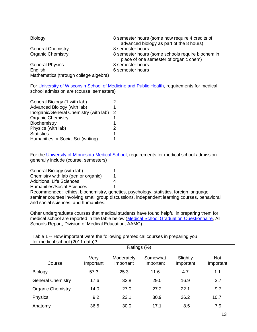| <b>Biology</b>                        | 8 semester hours (some now require 4 credits of<br>advanced biology as part of the 8 hours) |
|---------------------------------------|---------------------------------------------------------------------------------------------|
| <b>General Chemistry</b>              | 8 semester hours                                                                            |
| <b>Organic Chemistry</b>              | 8 semester hours (some schools require biochem in<br>place of one semester of organic chem) |
| <b>General Physics</b>                | 8 semester hours                                                                            |
| English                               | 6 semester hours                                                                            |
| Mathematics (through college algebra) |                                                                                             |

For [University of Wisconsin School of Medicine and Public Health,](https://www.med.wisc.edu/education/md-program/admissions/premedical-requirements/) requirements for medical school admission are (course, semesters)

| General Biology (1 with lab)           |   |
|----------------------------------------|---|
| Advanced Biology (with lab)            | 1 |
| Inorganic/General Chemistry (with lab) | 2 |
| <b>Organic Chemistry</b>               | 1 |
| Biochemistry                           | 1 |
| Physics (with lab)                     | 2 |
| <b>Statistics</b>                      | 1 |
| Humanities or Social Sci (writing)     | 1 |

For the [University of Minnesota Medical School,](https://www.med.umn.edu/admissions/how-apply/prerequisites) requirements for medical school admission generally include (course, semesters)

| General Biology (with lab)          |   |
|-------------------------------------|---|
| Chemistry with lab (gen or organic) | 1 |
| <b>Additional Life Sciences</b>     | 4 |
| Humanities/Social Sciences          |   |

Recommended: ethics, biochemistry, genetics, psychology, statistics, foreign language, seminar courses involving small group discussions, independent learning courses, behavioral and social sciences, and humanities.

Other undergraduate courses that medical students have found helpful in preparing them for medical school are reported in the table below [\(Medical School Graduation Questionnaire,](https://www.aamc.org/data/gq/) All Schools Report, Division of Medical Education, AAMC)

| $101$ $1100$ $0000$ $001100$ $1000$ |                   | Ratings (%)             |                       |                       |                         |
|-------------------------------------|-------------------|-------------------------|-----------------------|-----------------------|-------------------------|
| Course                              | Very<br>Important | Moderately<br>Important | Somewhat<br>Important | Slightly<br>Important | <b>Not</b><br>Important |
| <b>Biology</b>                      | 57.3              | 25.3                    | 11.6                  | 4.7                   | 1.1                     |
| <b>General Chemistry</b>            | 17.6              | 32.8                    | 29.0                  | 16.9                  | 3.7                     |
| <b>Organic Chemistry</b>            | 14.0              | 27.0                    | 27.2                  | 22.1                  | 9.7                     |
| <b>Physics</b>                      | 9.2               | 23.1                    | 30.9                  | 26.2                  | 10.7                    |
| Anatomy                             | 36.5              | 30.0                    | 17.1                  | 8.5                   | 7.9                     |

Table 1 -- How important were the following premedical courses in preparing you for medical school (2011 data)?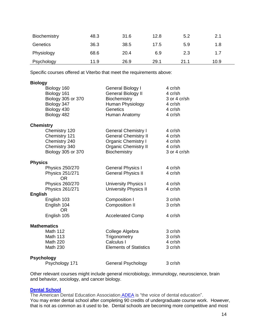| Biochemistry | 48.3 | 31.6 | 12.8 | 5.2  | 2.1  |  |
|--------------|------|------|------|------|------|--|
| Genetics     | 36.3 | 38.5 | 17.5 | 5.9  | 1.8  |  |
| Physiology   | 68.6 | 20.4 | 6.9  | 2.3  | 1.7  |  |
| Psychology   | 11.9 | 26.9 | 29.1 | 21.1 | 10.9 |  |

Specific courses offered at Viterbo that meet the requirements above:

## **Biology**

| Biology 160<br>Biology 161<br><b>Biology 305 or 370</b><br>Biology 347<br>Biology 430<br>Biology 482 | General Biology I<br><b>General Biology II</b><br>Biochemistry<br>Human Physiology<br>Genetics<br>Human Anatomy                        | 4 cr/sh<br>4 cr/sh<br>3 or 4 cr/sh<br>4 cr/sh<br>4 cr/sh<br>4 cr/sh |
|------------------------------------------------------------------------------------------------------|----------------------------------------------------------------------------------------------------------------------------------------|---------------------------------------------------------------------|
| <b>Chemistry</b>                                                                                     |                                                                                                                                        |                                                                     |
| Chemistry 120<br>Chemistry 121<br>Chemistry 240<br>Chemistry 340<br>Biology 305 or 370               | <b>General Chemistry I</b><br><b>General Chemistry II</b><br><b>Organic Chemistry I</b><br><b>Organic Chemistry II</b><br>Biochemistry | 4 cr/sh<br>4 cr/sh<br>4 cr/sh<br>4 cr/sh<br>3 or 4 cr/sh            |
| <b>Physics</b>                                                                                       |                                                                                                                                        |                                                                     |
| Physics 250/270<br><b>Physics 251/271</b><br><b>OR</b>                                               | <b>General Physics I</b><br><b>General Physics II</b>                                                                                  | 4 cr/sh<br>4 cr/sh                                                  |
| Physics 260/270<br>Physics 261/271                                                                   | <b>University Physics I</b><br><b>University Physics II</b>                                                                            | 4 cr/sh<br>4 cr/sh                                                  |
| <b>English</b>                                                                                       |                                                                                                                                        |                                                                     |
| English 103<br>English 104<br><b>OR</b>                                                              | Composition I<br><b>Composition II</b>                                                                                                 | 3 cr/sh<br>3 cr/sh                                                  |
| English 105                                                                                          | <b>Accelerated Comp</b>                                                                                                                | 4 cr/sh                                                             |
| <b>Mathematics</b>                                                                                   |                                                                                                                                        |                                                                     |
| Math 112                                                                                             | College Algebra                                                                                                                        | 3 cr/sh                                                             |
| <b>Math 113</b>                                                                                      | Trigonometry                                                                                                                           | 3 cr/sh                                                             |
| <b>Math 220</b>                                                                                      | Calculus I                                                                                                                             | 4 cr/sh                                                             |
| <b>Math 230</b>                                                                                      | <b>Elements of Statistics</b>                                                                                                          | 3 cr/sh                                                             |
| <b>Psychology</b>                                                                                    |                                                                                                                                        |                                                                     |
| Psychology 171                                                                                       | General Psychology                                                                                                                     | 3 cr/sh                                                             |

Other relevant courses might include general microbiology, immunology, neuroscience, brain and behavior, sociology, and cancer biology.

#### <span id="page-13-0"></span>**[Dental School](#page-4-0)**

The American Dental Education Association **[ADEA](http://www.adea.org/GoDental/)** is "the voice of dental education". You may enter dental school after completing 90 credits of undergraduate course work. However, that is not as common as it used to be. Dental schools are becoming more competitive and most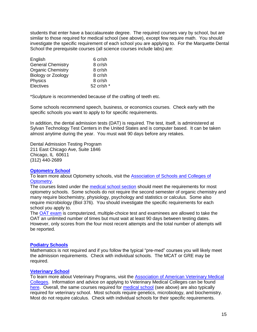students that enter have a baccalaureate degree. The required courses vary by school, but are similar to those required for medical school (see above), except few require math. You should investigate the specific requirement of each school you are applying to. For the Marquette Dental School the prerequisite courses (all science courses include labs) are:

| English                  | 6 cr/sh    |
|--------------------------|------------|
| <b>General Chemistry</b> | 8 cr/sh    |
| <b>Organic Chemistry</b> | 8 cr/sh    |
| Biology or Zoology       | 8 cr/sh    |
| Physics                  | 8 cr/sh    |
| <b>Electives</b>         | 52 cr/sh * |

\*Sculpture is recommended because of the crafting of teeth etc.

Some schools recommend speech, business, or economics courses. Check early with the specific schools you want to apply to for specific requirements.

In addition, the dental admission tests (DAT) is required. The test, itself, is administered at Sylvan Technology Test Centers in the United States and is computer based. It can be taken almost anytime during the year. You must wait 90 days before any retakes.

Dental Admission Testing Program 211 East Chicago Ave, Suite 1846 Chicago, IL 60611 (312) 440-2689

# <span id="page-14-0"></span>**[Optometry School](#page-4-1)**

To learn more about Optometry schools, visit the [Association of Schools and Colleges of](https://optometriceducation.org/)  [Optometry.](https://optometriceducation.org/)

The courses listed under the [medical school section](#page-11-1) should meet the requirements for most optometry schools. Some schools do not require the second semester of organic chemistry and many require biochemistry, physiology, psychology and statistics or calculus. Some also require microbiology (Biol 376). You should investigate the specific requirements for each school you apply to.

The [OAT exam](http://www.ada.org/en/oat) is computerized, multiple-choice test and examinees are allowed to take the OAT an unlimited number of times but must wait at least 90 days between testing dates. However, only scores from the four most recent attempts and the total number of attempts will be reported.

#### <span id="page-14-1"></span>**[Podiatry Schools](#page-5-0)**

Mathematics is not required and if you follow the typical "pre-med" courses you will likely meet the admission requirements. Check with individual schools. The MCAT or GRE may be required.

#### <span id="page-14-2"></span>**[Veterinary School](#page-5-1)**

To learn more about Veterinary Programs, visit the [Association of American Veterinary Medical](http://www.aavmc.org/)  [Colleges.](http://www.aavmc.org/) Information and advice on applying to Veterinary Medical Colleges can be found [here.](http://www.aavmc.org/Students-Applicants-and-Advisors/Veterinary-Medical-College-Application-Service.aspx) Overall, the same courses required for [medical school](#page-11-1) (see above) are also typically required for veterinary school. Most schools require genetics, microbiology, and biochemistry. Most do not require calculus. Check with individual schools for their specific requirements.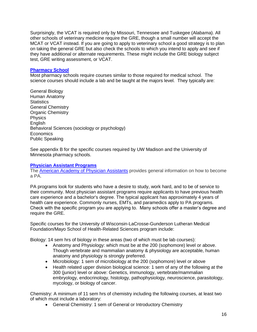Surprisingly, the VCAT is required only by Missouri, Tennessee and Tuskegee (Alabama). All other schools of veterinary medicine require the GRE, though a small number will accept the MCAT or VCAT instead. If you are going to apply to veterinary school a good strategy is to plan on taking the general GRE but also check the schools to which you intend to apply and see if they have additional or alternate requirements. These might include the GRE biology subject test, GRE writing assessment, or VCAT.

## <span id="page-15-0"></span>**[Pharmacy School](#page-5-2)**

Most pharmacy schools require courses similar to those required for medical school. The science courses should include a lab and be taught at the majors level. They typically are:

General Biology Human Anatomy **Statistics** General Chemistry Organic Chemistry Physics **English** Behavioral Sciences (sociology or psychology) Economics Public Speaking

See appendix B for the specific courses required by UW Madison and the University of Minnesota pharmacy schools.

#### <span id="page-15-1"></span>**[Physician Assistant Programs](#page-6-0)**

The [American Academy of Physician Assistants](https://www.aapa.org/) provides general information on how to become a PA.

PA programs look for students who have a desire to study, work hard, and to be of service to their community. Most physician assistant programs require applicants to have previous health care experience and a bachelor's degree. The typical applicant has approximately 4 years of health care experience. Commonly nurses, EMTs, and paramedics apply to PA programs. Check with the specific program you are applying to. Many schools offer a master's degree and require the GRE.

Specific courses for the University of Wisconsin-LaCrosse-Gunderson Lutheran Medical Foundation/Mayo School of Health-Related Sciences program include:

Biology: 14 sem hrs of biology in these areas (two of which must be lab courses):

- Anatomy and Physiology: which must be at the 200 (sophomore) level or above. Though vertebrate and mammalian anatomy & physiology are acceptable, human anatomy and physiology is strongly preferred.
- Microbiology: 1 sem of microbiology at the 200 (sophomore) level or above
- Health related upper division biological science: 1 sem of any of the following at the 300 (junior) level or above: Genetics, immunology, vertebrate/mammalian embryology, endocrinology, histology, pathophysiology, neuroscience, parasitology, mycology, or biology of cancer.

Chemistry: A minimum of 11 sem hrs of chemistry including the following courses, at least two of which must include a laboratory:

General Chemistry: 1 sem of General or Introductory Chemistry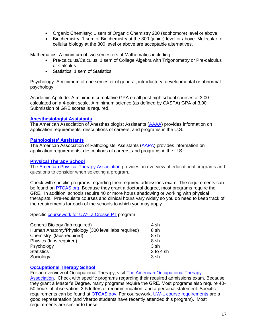- Organic Chemistry: 1 sem of Organic Chemistry 200 (sophomore) level or above
- Biochemistry: 1 sem of Biochemistry at the 300 (junior) level or above. Molecular or cellular biology at the 300 level or above are acceptable alternatives.

Mathematics: A minimum of two semesters of Mathematics including:

- Pre-calculus/Calculus: 1 sem of College Algebra with Trigonometry or Pre-calculus or Calculus
- Statistics: 1 sem of Statistics

Psychology: A minimum of one semester of general, introductory, developmental or abnormal psychology

Academic Aptitude: A minimum cumulative GPA on all post-high school courses of 3.00 calculated on a 4-point scale. A minimum science (as defined by CASPA) GPA of 3.00. Submission of GRE scores is required.

## <span id="page-16-0"></span>**[Anesthesiologist Assistants](#page-6-1)**

The American Association of Anesthesiologist Assistants [\(AAAA\)](https://aaaa.memberclicks.net/home) provides information on application requirements, descriptions of careers, and programs in the U.S.

## <span id="page-16-1"></span>**[Pathologists' Assistants](#page-7-0)**

The American Association of Pathologists' Assistants [\(AAPA\)](https://www.pathassist.org/) provides information on application requirements, descriptions of careers, and programs in the U.S.

## <span id="page-16-2"></span>**[Physical Therapy School](#page-7-1)**

The [American Physical Therapy Association](http://www.apta.org/PTEducation/Overview/) provides an overview of educational programs and questions to consider when selecting a program.

Check with specific programs regarding their required admissions exam. The requirements can be found on [PTCAS.org.](http://www.ptcas.org/) Because they grant a doctoral degree, most programs require the GRE. In addition, schools require 40 or more hours shadowing or working with physical therapists. Pre-requisite courses and clinical hours vary widely so you do need to keep track of the requirements for each of the schools to which you may apply.

Specific [coursework for UW-La Crosse PT](https://www.uwlax.edu/grad/physical-therapy/prerequisite-coursework/) program

| General Biology (lab required)                     | 4 sh          |
|----------------------------------------------------|---------------|
| Human Anatomy/Physiology (300 level labs required) | 8 sh          |
| Chemistry (labs required)                          | 8 sh          |
| Physics (labs required)                            | 8 sh          |
| Psychology                                         | 3 sh          |
| <b>Statistics</b>                                  | $3$ to $4$ sh |
| Sociology                                          | 3 sh          |

# <span id="page-16-3"></span>**[Occupational Therapy School](#page-7-2)**

For an overview of Occupational Therapy, visit [The American Occupational Therapy](https://www.aota.org/About-Occupational-Therapy.aspx)  [Association.](https://www.aota.org/About-Occupational-Therapy.aspx) Check with specific programs regarding their required admissions exam. Because they grant a Master's Degree, many programs require the GRE. Most programs also require 40- 50 hours of observation, 3-5 letters of recommendation, and a personal statement. Specific requirements can be found at [OTCAS.gov.](https://portal.otcas.org/otcasHelpPages/instructions/overview/index.html) For coursework, [UW-L course requirements](https://www.uwlax.edu/grad/occupational-therapy/%20-%20UW%20La%20Crosse) are a good representation (and Viterbo students have recently attended this program). Most requirements are similar to these: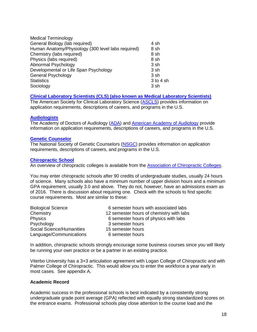| <b>Medical Terminology</b>                         |           |
|----------------------------------------------------|-----------|
| General Biology (lab required)                     | 4 sh      |
| Human Anatomy/Physiology (300 level labs required) | 8 sh      |
| Chemistry (labs required)                          | 8 sh      |
| Physics (labs required)                            | 8 sh      |
| Abnormal Psychology                                | 3 sh      |
| Developmental or Life Span Psychology              | 3 sh      |
| <b>General Psychology</b>                          | 3 sh      |
| <b>Statistics</b>                                  | 3 to 4 sh |
| Sociology                                          | 3 sh      |

# <span id="page-17-0"></span>**[Clinical Laboratory Scientists \(CLS\) \(also known as Medical Laboratory Scientists\)](#page-8-0)**

The American Society for Clinical Laboratory Science [\(ASCLS\)](http://www.ascls.org/) provides information on application requirements, descriptions of careers, and programs in the U.S.

#### <span id="page-17-1"></span>**[Audiologists](#page-8-1)**

The Academy of Doctors of Audiology [\(ADA\)](https://www.audiologist.org/) and [American Academy of Audiology](https://www.audiology.org/) provide information on application requirements, descriptions of careers, and programs in the U.S.

## <span id="page-17-2"></span>**[Genetic Counselor](#page-8-2)**

The National Society of Genetic Counselors [\(NSGC\)](https://www.nsgc.org/) provides information on application requirements, descriptions of careers, and programs in the U.S.

## <span id="page-17-3"></span>**[Chiropractic School](#page-9-1)**

An overview of chiropractic colleges is available from the **Association of Chiropractic Colleges**.

You may enter chiropractic schools after 90 credits of undergraduate studies, usually 24 hours of science. Many schools also have a minimum number of upper division hours and a minimum GPA requirement, usually 3.0 and above. They do not, however, have an admissions exam as of 2016. There is discussion about requiring one. Check with the schools to find specific course requirements. Most are similar to these:

| <b>Biological Science</b> | 6 semester hours with associated labs    |
|---------------------------|------------------------------------------|
| Chemistry                 | 12 semester hours of chemistry with labs |
| <b>Physics</b>            | 6 semester hours of physics with labs    |
| Psychology                | 3 semester hours                         |
| Social Science/Humanities | 15 semester hours                        |
| Language/Communications   | 6 semester hours                         |

In addition, chiropractic schools strongly encourage some business courses since you will likely be running your own practice or be a partner in an existing practice.

Viterbo University has a 3+3 articulation agreement with Logan College of Chiropractic and with Palmer College of Chiropractic. This would allow you to enter the workforce a year early in most cases. See appendix A.

# <span id="page-17-4"></span>**Academic Record**

Academic success in the professional schools is best indicated by a consistently strong undergraduate grade point average (GPA) reflected with equally strong standardized scores on the entrance exams. Professional schools play close attention to the course load and the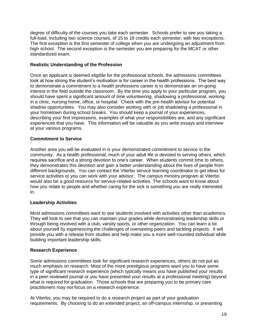degree of difficulty of the courses you take each semester. Schools prefer to see you taking a full-load, including two science courses, of 15 to 18 credits each semester, with two exceptions. The first exception is the first semester of college when you are undergoing an adjustment from high school. The second exception is the semester you are preparing for the MCAT or other standardized exam.

# <span id="page-18-0"></span>**Realistic Understanding of the Profession**

Once an applicant is deemed eligible for the professional schools, the admissions committees look at how strong the student's motivation is for career in the health professions. The best way to demonstrate a commitment to a health professions career is to demonstrate an on-going interest in the field outside the classroom. By the time you apply to your particular program, you should have spent a significant amount of time volunteering, shadowing a professional, working in a clinic, nursing home, office, or hospital. Check with the pre-health advisor for potential shadow opportunities. You may also consider working with or job shadowing a professional in your hometown during school breaks. You should keep a journal of your experiences, describing your first impressions, examples of what your responsibilities are, and any significant experiences that you have. This information will be valuable as you write essays and interview at your various programs.

# <span id="page-18-1"></span>**Commitment to Service**

Another area you will be evaluated in is your demonstrated commitment to service in the community. As a health professional, much of your adult life is devoted to serving others, which requires sacrifice and a strong devotion to one's career. When students commit time to others, they demonstrates this devotion and gain a better understanding about the lives of people from different backgrounds. You can contact the Viterbo service learning coordinator to get ideas for service activities or you can work with your advisor. The campus ministry program at Viterbo would also be a good resource for service-related activities. The schools want to know about how you relate to people and whether caring for the sick is something you are really interested in.

# <span id="page-18-2"></span>**Leadership Activities**

Most admissions committees want to see students involved with activities other than academics. They will look to see that you can maintain your grades while demonstrating leadership skills or through being involved with a club, varsity sports, or other organization. You can learn a lot about yourself by experiencing the challenges of overseeing peers and tackling projects. It will provide you with a release from studies and help make you a more well-rounded individual while building important leadership skills.

# <span id="page-18-3"></span>**Research Experience**

Some admissions committees look for significant research experiences, others do not put as much emphasis on research. Most of the more prestigious programs want you to have some type of significant research experience (which typically means you have published your results in a peer-reviewed journal or you have presented your results at a professional meeting) beyond what is required for graduation. Those schools that are preparing you to be primary care practitioners may not focus on a research experience.

At Viterbo, you may be required to do a research project as part of your graduation requirements. By choosing to do an extended project, an off-campus internship, or presenting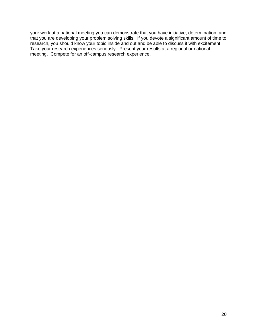<span id="page-19-0"></span>your work at a national meeting you can demonstrate that you have initiative, determination, and that you are developing your problem solving skills. If you devote a significant amount of time to research, you should know your topic inside and out and be able to discuss it with excitement. Take your research experiences seriously. Present your results at a regional or national meeting. Compete for an off-campus research experience.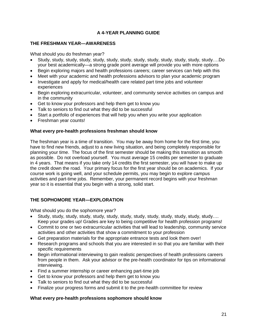# **A 4-YEAR PLANNING GUIDE**

# <span id="page-20-0"></span>**THE FRESHMAN YEAR—AWARENESS**

What should you do freshman year?

- Study, study, study, study, study, study, study, study, study, study, study, study, study….Do your best academically—a strong grade point average will provide you with more options
- Begin exploring majors and health professions careers; career services can help with this
- Meet with your academic and health professions advisors to plan your academic program
- Investigate and apply for medical/health care related part time jobs and volunteer experiences
- Begin exploring extracurricular, volunteer, and community service activities on campus and in the community
- Get to know your professors and help them get to know you
- Talk to seniors to find out what they did to be successful
- Start a portfolio of experiences that will help you when you write your application
- Freshman year counts!

## **What every pre-health professions freshman should know**

The freshman year is a time of transition. You may be away from home for the first time, you have to find new friends, adjust to a new living situation, and being completely responsible for planning your time. The focus of the first semester should be making this transition as smooth as possible. Do not overload yourself. You must average 15 credits per semester to graduate in 4 years. That means if you take only 14 credits the first semester, you will have to make up the credit down the road. Your primary focus for the first year should be on academics. If your course work is going well, and your schedule permits, you may begin to explore campus activities and part-time jobs. Remember, your permanent record begins with your freshman year so it is essential that you begin with a strong, solid start.

# <span id="page-20-1"></span>**THE SOPHOMORE YEAR—EXPLORATION**

What should you do the sophomore year?

- Study, study, study, study, study, study, study, study, study, study, study, study, study…. Keep your grades up! Grades are key to being competitive for health profession programs!
- Commit to one or two extracurricular activities that will lead to leadership, community service activities and other activities that show a commitment to your profession
- Get preparation materials for the appropriate entrance tests and look them over!
- Research programs and schools that you are interested in so that you are familiar with their specific requirements
- Begin informational interviewing to gain realistic perspectives of health professions careers from people in them. Ask your advisor or the pre-health coordinator for tips on informational interviewing.
- Find a summer internship or career enhancing part-time job
- Get to know your professors and help them get to know you
- Talk to seniors to find out what they did to be successful
- Finalize your progress forms and submit it to the pre-health committee for review

# **What every pre-health professions sophomore should know**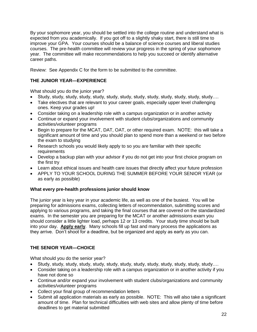By your sophomore year, you should be settled into the college routine and understand what is expected from you academically. If you got off to a slightly shaky start, there is still time to improve your GPA. Your courses should be a balance of science courses and liberal studies courses. The pre-health committee will review your progress in the spring of your sophomore year. The committee will make recommendations to help you succeed or identify alternative career paths.

Review: See Appendix C for the form to be submitted to the committee.

# <span id="page-21-0"></span>**THE JUNIOR YEAR—EXPERIENCE**

What should you do the junior year?

- Study, study, study, study, study, study, study, study, study, study, study, study, study….
- Take electives that are relevant to your career goals, especially upper level challenging ones. Keep your grades up!
- Consider taking on a leadership role with a campus organization or in another activity
- Continue or expand your involvement with student clubs/organizations and community activities/volunteer programs
- Begin to prepare for the MCAT, DAT, OAT, or other required exam. NOTE: this will take a significant amount of time and you should plan to spend more than a weekend or two before the exam to studying
- Research schools you would likely apply to so you are familiar with their specific requirements
- Develop a backup plan with your advisor if you do not get into your first choice program on the first try
- Learn about ethical issues and health care issues that directly affect your future profession
- APPLY TO YOUR SCHOOL DURING THE SUMMER BEFORE YOUR SENIOR YEAR (or as early as possible)

# **What every pre-health professions junior should know**

The junior year is key year in your academic life, as well as one of the busiest. You will be preparing for admissions exams, collecting letters of recommendation, submitting scores and applying to various programs, and taking the final courses that are covered on the standardized exams. In the semester you are preparing for the MCAT or another admissions exam you should consider a little lighter load, perhaps 12 or 13 credits. Your study time should be built into your day. **Apply early**. Many schools fill up fast and many process the applications as they arrive. Don't shoot for a deadline, but be organized and apply as early as you can.

# <span id="page-21-1"></span>**THE SENIOR YEAR—CHOICE**

What should you do the senior year?

- Study, study, study, study, study, study, study, study, study, study, study, study, study….
- Consider taking on a leadership role with a campus organization or in another activity if you have not done so
- Continue and/or expand your involvement with student clubs/organizations and community activities/volunteer programs
- Collect your final group of recommendation letters
- Submit all application materials as early as possible. NOTE: This will also take a significant amount of time. Plan for technical difficulties with web sites and allow plenty of time before deadlines to get material submitted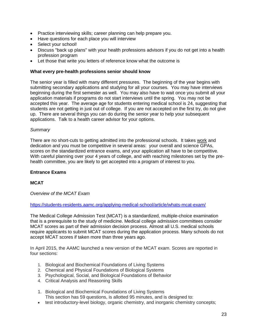- Practice interviewing skills; career planning can help prepare you.
- Have questions for each place you will interview
- Select your school!
- Discuss "back up plans" with your health professions advisors if you do not get into a health profession program
- Let those that write you letters of reference know what the outcome is

## **What every pre-health professions senior should know**

The senior year is filled with many different pressures. The beginning of the year begins with submitting secondary applications and studying for all your courses. You may have interviews beginning during the first semester as well. You may also have to wait once you submit all your application materials if programs do not start interviews until the spring. You may not be accepted this year. The average age for students entering medical school is 24, suggesting that students are not getting in just out of college. If you are not accepted on the first try, do not give up. There are several things you can do during the senior year to help your subsequent applications. Talk to a health career advisor for your options.

## *Summary*

There are no short-cuts to getting admitted into the professional schools. It takes work and dedication and you must be competitive in several areas: your overall and science GPAs, scores on the standardized entrance exams, and your application all have to be competitive. With careful planning over your 4 years of college, and with reaching milestones set by the prehealth committee, you are likely to get accepted into a program of interest to you.

# <span id="page-22-0"></span>**Entrance Exams**

# <span id="page-22-1"></span>**MCAT**

*Overview of the MCAT Exam*

<https://students-residents.aamc.org/applying-medical-school/article/whats-mcat-exam/>

The Medical College Admission Test (MCAT) is a standardized, multiple-choice examination that is a prerequisite to the study of medicine. Medical college admission committees consider MCAT scores as part of their admission decision process. Almost all U.S. medical schools require applicants to submit MCAT scores during the application process. Many schools do not accept MCAT scores if taken more than three years ago.

In April 2015, the AAMC launched a new version of the MCAT exam. Scores are reported in four sections:

- 1. Biological and Biochemical Foundations of Living Systems
- 2. Chemical and Physical Foundations of Biological Systems
- 3. Psychological, Social, and Biological Foundations of Behavior
- 4. Critical Analysis and Reasoning Skills
- 1. Biological and Biochemical Foundations of Living Systems This section has 59 questions, is allotted 95 minutes, and is designed to:
- test introductory-level biology, organic chemistry, and inorganic chemistry concepts;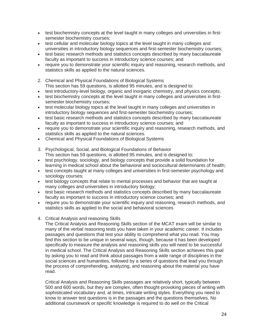- test biochemistry concepts at the level taught in many colleges and universities in firstsemester biochemistry courses;
- test cellular and molecular biology topics at the level taught in many colleges and universities in introductory biology sequences and first-semester biochemistry courses;
- test basic research methods and statistics concepts described by many baccalaureate faculty as important to success in introductory science courses; and
- require you to demonstrate your scientific inquiry and reasoning, research methods, and statistics skills as applied to the natural sciences.
- 2. Chemical and Physical Foundations of Biological Systems This section has 59 questions, is allotted 95 minutes, and is designed to:
- test introductory-level biology, organic and inorganic chemistry, and physics concepts;
- test biochemistry concepts at the level taught in many colleges and universities in firstsemester biochemistry courses;
- test molecular biology topics at the level taught in many colleges and universities in introductory biology sequences and first-semester biochemistry courses;
- test basic research methods and statistics concepts described by many baccalaureate faculty as important to success in introductory science courses; and
- require you to demonstrate your scientific inquiry and reasoning, research methods, and statistics skills as applied to the natural sciences.
- Chemical and Physical Foundations of Biological Systems
- 3. Psychological, Social, and Biological Foundations of Behavior This section has 59 questions, is allotted 95 minutes, and is designed to:
- test psychology, sociology, and biology concepts that provide a solid foundation for learning in medical school about the behavioral and sociocultural determinants of health;
- test concepts taught at many colleges and universities in first-semester psychology and sociology courses;
- test biology concepts that relate to mental processes and behavior that are taught at many colleges and universities in introductory biology;
- test basic research methods and statistics concepts described by many baccalaureate faculty as important to success in introductory science courses; and
- require you to demonstrate your scientific inquiry and reasoning, research methods, and statistics skills as applied to the social and behavioral sciences
- 4. Critical Analysis and reasoning Skills

The Critical Analysis and Reasoning Skills section of the MCAT exam will be similar to many of the verbal reasoning tests you have taken in your academic career. It includes passages and questions that test your ability to comprehend what you read. You may find this section to be unique in several ways, though, because it has been developed specifically to measure the analysis and reasoning skills you will need to be successful in medical school. The Critical Analysis and Reasoning Skills section achieves this goal by asking you to read and think about passages from a wide range of disciplines in the social sciences and humanities, followed by a series of questions that lead you through the process of comprehending, analyzing, and reasoning about the material you have read.

Critical Analysis and Reasoning Skills passages are relatively short, typically between 500 and 600 words, but they are complex, often thought-provoking pieces of writing with sophisticated vocabulary and, at times, intricate writing styles. Everything you need to know to answer test questions is in the passages and the questions themselves. No additional coursework or specific knowledge is required to do well on the Critical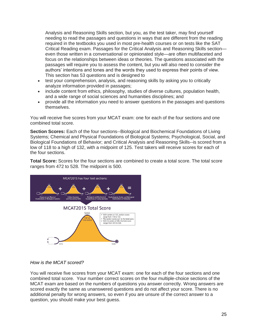Analysis and Reasoning Skills section, but you, as the test taker, may find yourself needing to read the passages and questions in ways that are different from the reading required in the textbooks you used in most pre-health courses or on tests like the SAT Critical Reading exam. Passages for the Critical Analysis and Reasoning Skills section even those written in a conversational or opinionated style—are often multifaceted and focus on the relationships between ideas or theories. The questions associated with the passages will require you to assess the content, but you will also need to consider the authors' intentions and tones and the words they used to express their points of view. This section has 53 questions and is designed to

- test your comprehension, analysis, and reasoning skills by asking you to critically analyze information provided in passages;
- include content from ethics, philosophy, studies of diverse cultures, population health, and a wide range of social sciences and humanities disciplines; and
- provide all the information you need to answer questions in the passages and questions themselves.

You will receive five scores from your MCAT exam: one for each of the four sections and one combined total score.

**Section Scores:** Each of the four sections--Biological and Biochemical Foundations of Living Systems; Chemical and Physical Foundations of Biological Systems; Psychological, Social, and Biological Foundations of Behavior; and Critical Analysis and Reasoning Skills--is scored from a low of 118 to a high of 132, with a midpoint of 125. Test takers will receive scores for each of the four sections.

**Total Score:** Scores for the four sections are combined to create a total score. The total score ranges from 472 to 528. The midpoint is 500.



# *How is the MCAT scored?*

You will receive five scores from your MCAT exam: one for each of the four sections and one combined total score. Your number correct scores on the four multiple-choice sections of the MCAT exam are based on the numbers of questions you answer correctly. Wrong answers are scored exactly the same as unanswered questions and do not affect your score. There is no additional penalty for wrong answers, so even if you are unsure of the correct answer to a question, you should make your best guess.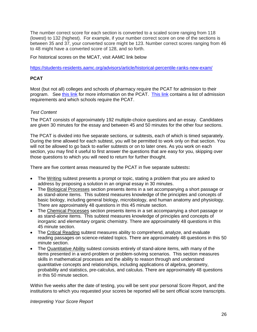The number correct score for each section is converted to a scaled score ranging from 118 (lowest) to 132 (highest). For example, if your number correct score on one of the sections is between 35 and 37, your converted score might be 123. Number correct scores ranging from 46 to 48 might have a converted score of 128, and so forth.

For historical scores on the MCAT, visit AAMC link below

<https://students-residents.aamc.org/advisors/article/historical-percentile-ranks-new-exam/>

# <span id="page-25-0"></span>**PCAT**

Most (but not all) colleges and schools of pharmacy require the PCAT for admission to their program. See [this link](http://pcatweb.info/About-the-PCAT.php) for more information on the PCAT. [This link](https://www.aacp.org/resource/pharmacy-school-admission-requirements) contains a list of admission requirements and which schools require the PCAT.

# *Test Content*

The PCAT consists of approximately 192 multiple-choice questions and an essay. Candidates are given 30 minutes for the essay and between 45 and 50 minutes for the other four sections.

The PCAT is divided into five separate sections, or subtests, each of which is timed separately. During the time allowed for each subtest, you will be permitted to work only on that section. You will not be allowed to go back to earlier subtests or on to later ones. As you work on each section, you may find it useful to first answer the questions that are easy for you, skipping over those questions to which you will need to return for further thought.

There are five content areas measured by the PCAT in five separate subtests**:**

- The Writing subtest presents a prompt or topic, stating a problem that you are asked to address by proposing a solution in an original essay in 30 minutes.
- The Biological Processes section presents items in a set accompanying a short passage or as stand-alone items. This subtest measures knowledge of the principles and concepts of basic biology, including general biology, microbiology, and human anatomy and physiology. There are approximately 48 questions in this 45 minute section.
- The Chemical Processes section presents items in a set accompanying a short passage or as stand-alone items. This subtest measures knowledge of principles and concepts of inorganic and elementary organic chemistry. There are approximately 48 questions in this 45 minute section.
- The Critical Reading subtest measures ability to comprehend, analyze, and evaluate reading passages on science-related topics. There are approximately 48 questions in this 50 minute section.
- The Quantitative Ability subtest consists entirely of stand-alone items, with many of the items presented in a word-problem or problem-solving scenarios. This section measures skills in mathematical processes and the ability to reason through and understand quantitative concepts and relationships, including applications of algebra, geometry, probability and statistics, pre-calculus, and calculus. There are approximately 48 questions in this 50 minute section.

Within five weeks after the date of testing, you will be sent your personal Score Report, and the institutions to which you requested your scores be reported will be sent official score transcripts.

*Interpreting Your Score Report*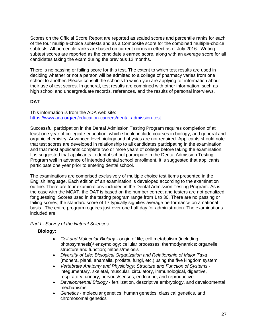Scores on the Official Score Report are reported as scaled scores and percentile ranks for each of the four multiple-choice subtests and as a Composite score for the combined multiple-choice subtests. All percentile ranks are based on current norms in effect as of July 2016. Writing subtest scores are reported as the candidate's earned score, along with an average score for all candidates taking the exam during the previous 12 months.

There is no passing or failing score for this test. The extent to which test results are used in deciding whether or not a person will be admitted to a college of pharmacy varies from one school to another. Please consult the schools to which you are applying for information about their use of test scores. In general, test results are combined with other information, such as high school and undergraduate records, references, and the results of personal interviews.

# <span id="page-26-0"></span>**DAT**

This information is from the ADA web site: <https://www.ada.org/en/education-careers/dental-admission-test>

Successful participation in the Dental Admission Testing Program requires completion of at least one year of collegiate education, which should include courses in biology, and general and organic chemistry. Advanced level biology and physics are not required. Applicants should note that test scores are developed in relationship to all candidates participating in the examination and that most applicants complete two or more years of college before taking the examination. It is suggested that applicants to dental school participate in the Dental Admission Testing Program well in advance of intended dental school enrollment. It is suggested that applicants participate one year prior to entering dental school.

The examinations are comprised exclusively of multiple choice test items presented in the English language. Each edition of an examination is developed according to the examination outline. There are four examinations included in the Dental Admission Testing Program. As is the case with the MCAT, the DAT is based on the number correct and testers are not penalized for guessing. Scores used in the testing program range from 1 to 30. There are no passing or failing scores; the standard score of 17 typically signifies average performance on a national basis. The entire program requires just over one half day for administration. The examinations included are:

# *Part I - Survey of the Natural Sciences*

# **Biology:**

- *Cell and Molecular Biology* origin of life; cell metabolism (including photosynthesis)/ enzymology; cellular processes: thermodynamics; organelle structure and function; mitosis/meiosis
- *Diversity of Life: Biological Organization and Relationship of Major Taxa* (monera, planti, anamalia, protista, fungi, etc.) using the five kingdom system
- *Vertebrate Anatomy and Physiology: Structure and Function of Systems* integumentary, skeletal, muscular, circulatory, immunological, digestive, respiratory, urinary, nervous/senses, endocrine, and reproductive
- *Developmental Biology* fertilization, descriptive embryology, and developmental mechanisms
- *Genetics* molecular genetics, human genetics, classical genetics, and chromosomal genetics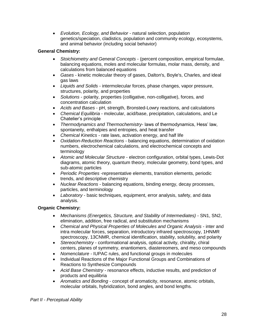*Evolution, Ecology, and Behavior* - natural selection, population genetics/speciation, cladistics, population and community ecology, ecosystems, and animal behavior (including social behavior)

# **General Chemistry:**

- *Stoichiometry and General Concepts* (percent composition, empirical formulae, balancing equations, moles and molecular formulas, molar mass, density, and calculations from balanced equations
- *Gases* kinetic molecular theory of gases, Dalton's, Boyle's, Charles, and ideal gas laws
- *Liquids and Solids* intermolecular forces, phase changes, vapor pressure, structures, polarity, and properties
- *Solutions* polarity, properties (colligative, non-colligative), forces, and concentration calculation
- *Acids and Bases* pH, strength, Bronsted-Lowry reactions, and calculations
- *Chemical Equilibria* molecular, acid/base, precipitation, calculations, and Le Chatelier's principle
- *Thermodynamics and Thermochemistry* laws of thermodynamics, Hess' law, spontaneity, enthalpies and entropies, and heat transfer
- *Chemical Kinetics* rate laws, activation energy, and half life
- *Oxidation-Reduction Reactions* balancing equations, determination of oxidation numbers, electrochemical calculations, and electrochemical concepts and terminology
- *Atomic and Molecular Structure* electron configuration, orbital types, Lewis-Dot diagrams, atomic theory, quantum theory, molecular geometry, bond types, and sub-atomic particles
- *Periodic Properties* -representative elements, transition elements, periodic trends, and descriptive chemistry
- *Nuclear Reactions* balancing equations, binding energy, decay processes, particles, and terminology
- *Laboratory* basic techniques, equipment, error analysis, safety, and data analysis.

# **Organic Chemistry:**

- *Mechanisms (Energetics, Structure, and Stability of Intermediates)* SN1, SN2, elimination, addition, free radical, and substitution mechanisms
- *Chemical and Physical Properties of Molecules and Organic Analysis* inter and intra molecular forces, separation, introductory infrared spectroscopy, 1HNMR spectroscopy, 13CNMR, chemical identification, stability, solubility, and polarity
- *Stereochemistry* conformational analysis, optical activity, chirality, chiral centers, planes of symmetry, enantiomers, diastereomers, and meso compounds
- *Nomenclature* IUPAC rules, and functional groups in molecules
- Individual Reactions of the Major Functional Groups and Combinations of Reactions to Synthesize Compounds
- *Acid Base Chemistry* resonance effects, inductive results, and prediction of products and equilibria
- *Aromatics and Bonding* concept of aromaticity, resonance, atomic orbitals, molecular orbitals, hybridization, bond angles, and bond lengths.

*Part II - Perceptual Ability*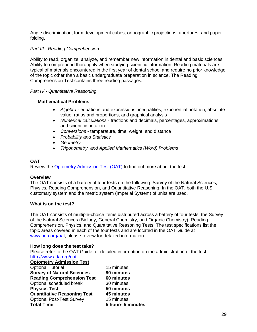Angle discrimination, form development cubes, orthographic projections, apertures, and paper folding.

# *Part III - Reading Comprehension*

Ability to read, organize, analyze, and remember new information in dental and basic sciences. Ability to comprehend thoroughly when studying scientific information. Reading materials are typical of materials encountered in the first year of dental school and require no prior knowledge of the topic other than a basic undergraduate preparation in science. The Reading Comprehension Test contains three reading passages.

# *Part IV - Quantitative Reasoning*

# **Mathematical Problems:**

- *Algebra* equations and expressions, inequalities, exponential notation, absolute value, ratios and proportions, and graphical analysis
- *Numerical calculations*  fractions and decimals, percentages, approximations and scientific notation
- *Conversions* temperature, time, weight, and distance
- *Probability and Statistics*
- *Geometry*
- *Trigonometry, and Applied Mathematics (Word) Problems*

# <span id="page-28-0"></span>**OAT**

Review the [Optometry Admission Test \(OAT\)](http://www.ada.org/en/oat) to find out more about the test.

# **Overview**

The OAT consists of a battery of four tests on the following: Survey of the Natural Sciences, Physics, Reading Comprehension, and Quantitative Reasoning. In the OAT, both the U.S. customary system and the metric system (Imperial System) of units are used.

# <span id="page-28-1"></span>**What is on the test?**

The OAT consists of multiple-choice items distributed across a battery of four tests: the Survey of the Natural Sciences (Biology, General Chemistry, and Organic Chemistry), Reading Comprehension, Physics, and Quantitative Reasoning Tests. The test specifications list the topic areas covered in each of the four tests and are located in the OAT Guide at [www.ada.org/oat;](http://www.ada.org/oat) please review for detailed information.

# **How long does the test take?**

Please refer to the OAT Guide for detailed information on the administration of the test: <http://www.ada.org/oat>

**Optometry Admission Test** 

| <b>Optional Tutorial</b>           |
|------------------------------------|
| <b>Survey of Natural Sciences</b>  |
| <b>Reading Comprehension Test</b>  |
| Optional scheduled break           |
| <b>Physics Test</b>                |
| <b>Quantitative Reasoning Test</b> |
| <b>Optional Post-Test Survey</b>   |
| <b>Total Time</b>                  |

15 minutes **90 minutes Reading Comprehension Test 60 minutes**  30 minutes **50 minutes 45 minutes** 15 minutes **Total Time 5 hours 5 minutes**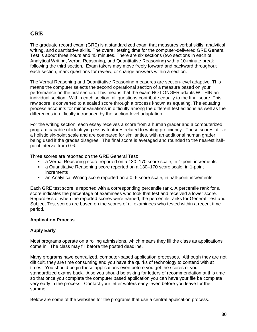# <span id="page-29-0"></span>**GRE**

The graduate record exam (GRE) is a standardized exam that measures verbal skills, analytical writing, and quantitative skills. The overall testing time for the computer-delivered GRE General Test is about three hours and 45 minutes. There are six sections (two sections in each of Analytical Writing, Verbal Reasoning, and Quantitative Reasoning) with a 10-minute break following the third section. Exam takers may move freely forward and backward throughout each section, mark questions for review, or change answers within a section.

The Verbal Reasoning and Quantitative Reasoning measures are section-level adaptive. This means the computer selects the second operational section of a measure based on your performance on the first section. This means that the exam NO LONGER adapts WITHIN an individual section. Within each section, all questions contribute equally to the final score. This raw score is converted to a scaled score through a process known as equating. The equating process accounts for minor variations in difficulty among the different test editions as well as the differences in difficulty introduced by the section-level adaptation.

For the writing section, each essay receives a score from a human grader and a computerized program capable of identifying essay features related to writing proficiency. These scores utilize a holistic six-point scale and are compared for similarities, with an additional human grader being used if the grades disagree. The final score is averaged and rounded to the nearest halfpoint interval from 0-6.

Three scores are reported on the GRE General Test:

- a Verbal Reasoning score reported on a 130–170 score scale, in 1-point increments
- a Quantitative Reasoning score reported on a 130–170 score scale, in 1-point increments
- an Analytical Writing score reported on a 0–6 score scale, in half-point increments

Each GRE test score is reported with a corresponding percentile rank. A percentile rank for a score indicates the percentage of examinees who took that test and received a lower score. Regardless of when the reported scores were earned, the percentile ranks for General Test and Subject Test scores are based on the scores of all examinees who tested within a recent time period.

# **Application Process**

# **Apply Early**

Most programs operate on a rolling admissions, which means they fill the class as applications come in. The class may fill before the posted deadline.

Many programs have centralized, computer-based application processes. Although they are not difficult, they are time consuming and you have the quirks of technology to contend with at times. You should begin those applications even before you get the scores of your standardized exams back. Also you should be asking for letters of recommendation at this time so that once you complete the computer based application you can have your file be complete very early in the process. Contact your letter writers early–even before you leave for the summer.

Below are some of the websites for the programs that use a central application process.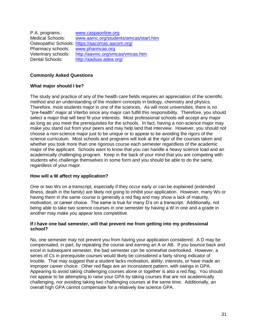| P.A. programs.:         | www.caspaonline.org                             |
|-------------------------|-------------------------------------------------|
| <b>Medical Schools:</b> | www.aamc.org/students/amcas/start.htm           |
|                         | Osteopathic Schools: https://aacomas.aacom.org/ |
| Pharmacy schools:       | www.pharmcas.org                                |
| Veterinary schools:     | http://aavmc.org/vmcas/vmcas.htm                |
| Dental Schools:         | http://aadsas.adea.org/                         |

# <span id="page-30-0"></span>**Commonly Asked Questions**

# **What major should I be?**

The study and practice of any of the health care fields requires an appreciation of the scientific method and an understanding of the modern concepts in biology, chemistry and physics. Therefore, most students major in one of the sciences. As will most universities, there is no "pre-health" major at Viterbo since any major can fulfill this responsibility. Therefore, you should select a major that will best fit your interests. Most professional schools will accept any major as long as you meet the prerequisites for the schools. In fact, having a non-science major may make you stand out from your peers and may help land that interview. However, you should not choose a non-science major just to be unique or to appear to be avoiding the rigors of the science curriculum. Most schools and programs will look at the rigor of the courses taken and whether you took more than one rigorous course each semester regardless of the academic major of the applicant. Schools want to know that you can handle a heavy science load and an academically challenging program. Keep in the back of your mind that you are competing with students who challenge themselves in some form and you should be able to do the same, regardless of your major.

# **How will a W affect my application?**

One or two Ws on a transcript, especially if they occur early or can be explained (extended illness, death in the family) are likely not going to inhibit your application. However, many Ws or having them in the same course is generally a red flag and may show a lack of maturity, motivation, or career choice. The same is true for many D's on a transcript. Additionally, not being able to take two science courses in one semester by having a W in one and a grade in another may make you appear less competitive.

## **If I have one bad semester, will that prevent me from getting into my professional school?**

No, one semester may not prevent you from having your application considered. A D may be compensated, in part, by repeating the course and earning an A or AB. If you bounce back and excel in subsequent semester, the bad semester can be somewhat overlooked. However, a series of Cs in prerequisite courses would likely be considered a fairly strong indicator of trouble. That may suggest that a student lacks motivation, ability, interests, or have made an improper career choice. Other red flags are an inconsistent pattern, with swings in GPA. Appearing to avoid taking challenging courses alone or together is also a red flag. You should not appear to be attempting to raise your GPA by taking courses that are not academically challenging, nor avoiding taking two challenging courses at the same time. Additionally, an overall high GPA cannot compensate for a relatively low science GPA.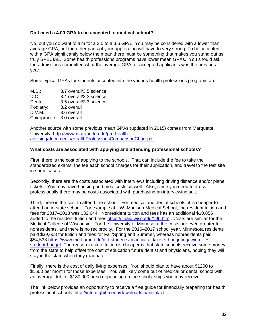# **Do I need a 4.00 GPA to be accepted to medical school?**

No, but you do want to aim for a 3.5 to a 3.6 GPA. You may be considered with a lower than average GPA, but the other parts of your application will have to very strong. To be accepted with a GPA significantly below the mean there must be something that makes you stand out as truly SPECIAL. Some health professions programs have lower mean GPAs. You should ask the admissions committee what the average GPA for accepted applicants was the previous year.

Some typical GPAs for students accepted into the various health professions programs are:

| M.D.:        | 3.7 overall/3.5 science |
|--------------|-------------------------|
| D.O.         | 3.4 overall/3.3 science |
| Dental:      | 3.5 overall/3.3 science |
| Podiatry:    | 3.2 overall             |
| D.V.M.       | 3.6 overall             |
| Chiropractic | 3.0 overall             |
|              |                         |

Another source with some previous mean GPAs (updated in 2015) comes from Marquette University: [http://www.marquette.edu/pre-health](http://www.marquette.edu/pre-health-advising/documents/HealthProfessionsComparisonChart.pdf)[advising/documents/HealthProfessionsComparisonChart.pdf](http://www.marquette.edu/pre-health-advising/documents/HealthProfessionsComparisonChart.pdf)

# **What costs are associated with applying and attending professional schools?**

First, there is the cost of applying to the schools. That can include the fee to take the standardized exams, the fee each school charges for their application, and travel to the test site in some cases.

Secondly, there are the costs associated with interviews including driving distance and/or plane tickets. You may have housing and meal costs as well. Also, since you need to dress professionally there may be costs associated with purchasing an interviewing suit.

Third, there is the cost to attend the school. For medical and dental schools, it is cheaper to attend an in-state school. For example at UW–Madison Medical School, the resident tuition and fees for 2017–2018 was \$32,644. Nonresident tuition and fees has an additional \$10,856 added to the resident tuition and fees<https://finaid.wisc.edu/196.htm> . Costs are similar for the Medical College of Wisconsin. For the University of Minnesota, the costs are even greater for nonresidents, and there is no reciprocity. For the 2016–2017 school year, Minnesota residents paid \$39,608 for tuition and fees for Fall/Spring and Summer, whereas nonresidents paid \$54,533 [https://www.med.umn.edu/md-students/financial-aid/costs-budgeting/twin-cities](https://www.med.umn.edu/md-students/financial-aid/costs-budgeting/twin-cities-student-budget)[student-budget.](https://www.med.umn.edu/md-students/financial-aid/costs-budgeting/twin-cities-student-budget) The reason in-state tuition is cheaper is that state schools receive some money from the state to help offset the cost of education future dentist and physicians, hoping they will stay in the state when they graduate.

Finally, there is the cost of daily living expenses. You should plan to have about \$1200 to \$1500 per month for those expenses. You will likely come out of medical or dental school with an average debt of \$180,000 or so depending on the scholarships you may receive.

The link below provides an opportunity to receive a free guide for financially preparing for health professional schools:<http://info.mghihp.edu/download/financialaid>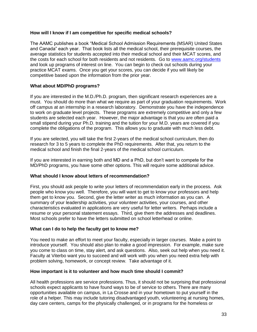# **How will I know if I am competitive for specific medical schools?**

The AAMC publishes a book "Medical School Admission Requirements (MSAR) United States and Canada" each year. That book lists all the medical school, their prerequisite courses, the average statistics for students accepted into their medical school and their MCAT scores, and the costs for each school for both residents and not residents. Go to [www.aamc.org/students](http://www.aamc.org/students) and look up programs of interest on line. You can begin to check out schools during your practice MCAT exams. Once you get your scores, you can decide if you will likely be competitive based upon the information from the prior year.

# **What about MD/PhD programs?**

If you are interested in the M.D./Ph.D. program, then significant research experiences are a must. You should do more than what we require as part of your graduation requirements. Work off campus at an internship in a research laboratory. Demonstrate you have the independence to work on graduate level projects. These programs are extremely competitive and only a few students are selected each year. However, the major advantage is that you are often paid a small stipend during your Ph.D. training and the tuition for your M.D. years are covered if you complete the obligations of the program. This allows you to graduate with much less debt.

If you are selected, you will take the first 2-years of the medical school curriculum, then do research for 3 to 5 years to complete the PhD requirements. After that, you return to the medical school and finish the final 2-years of the medical school curriculum.

If you are interested in earning both and MD and a PhD, but don't want to compete for the MD/PhD programs, you have some other options. This will require some additional advice.

# **What should I know about letters of recommendation?**

First, you should ask people to write your letters of recommendation early in the process. Ask people who know you well. Therefore, you will want to get to know your professors and help them get to know you. Second, give the letter writer as much information as you can. A summary of your leadership activities, your volunteer activities, your courses, and other characteristics evaluated in applications are very useful for letter writers. Perhaps include a resume or your personal statement essays. Third, give them the addresses and deadlines. Most schools prefer to have the letters submitted on school letterhead or online.

# **What can I do to help the faculty get to know me?**

You need to make an effort to meet your faculty, especially in larger courses. Make a point to introduce yourself. You should also plan to make a good impression. For example, make sure you come to class on time, stay alert, and ask questions. Also, seek out help when you need it. Faculty at Viterbo want you to succeed and will work with you when you need extra help with problem solving, homework, or concept review. Take advantage of it.

# **How important is it to volunteer and how much time should I commit?**

All health professions are service professions. Thus, it should not be surprising that professional schools expect applicants to have found ways to be of service to others. There are many opportunities available on campus, in La Crosse and in your hometown to put yourself in the role of a helper. This may include tutoring disadvantaged youth, volunteering at nursing homes, day care centers, camps for the physically challenged, or in programs for the homeless or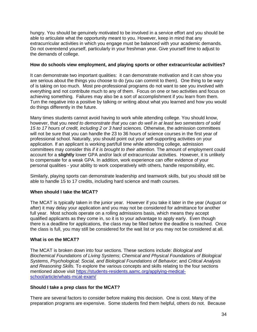hungry. You should be genuinely motivated to be involved in a service effort and you should be able to articulate what the opportunity meant to you. However, keep in mind that any extracurricular activities in which you engage must be balanced with your academic demands. Do not overextend yourself, particularly in your freshman year. Give yourself time to adjust to the demands of college.

# **How do schools view employment, and playing sports or other extracurricular activities?**

It can demonstrate two important qualities: it can demonstrate motivation and it can show you are serious about the things you choose to do (you can commit to them). One thing to be wary of is taking on too much. Most pre-professional programs do not want to see you involved with everything and not contribute much to any of them. Focus on one or two activities and focus on achieving something. Failures may also be a sort of accomplishment if you learn from them. Turn the negative into a positive by talking or writing about what you learned and how you would do things differently in the future.

Many times students cannot avoid having to work while attending college. You should know, however, that you *need to demonstrate that you can do well in at least two semesters of solid 15 to 17 hours of credit, including 2 or 3 hard sciences.* Otherwise, the admission committees will not be sure that you can handle the 23 to 36 hours of science courses in the first year of professional school. Naturally, you should point out your self-supporting activities on your application. If an applicant is working part/full time while attending college, admission committees may consider this *if it is brought to their attention.* The amount of employment could account for a **slightly** lower GPA and/or lack of extracurricular activities. However, it is unlikely to compensate for a weak GPA. In addition, work experience can offer evidence of your personal qualities - your ability to work cooperatively with others, handle responsibility, etc.

Similarly, playing sports can demonstrate leadership and teamwork skills, but you should still be able to handle 15 to 17 credits, including hard science and math courses.

# **When should I take the MCAT?**

The MCAT is typically taken in the junior year. However if you take it later in the year (August or after) it may delay your application and you may not be considered for admittance for another full year. Most schools operate on a rolling admissions basis, which means they accept qualified applicants as they come in, so it is to your advantage to apply early. Even though there is a deadline for applications, the class may be filled before the deadline is reached. Once the class is full, you may still be considered for the wait list or you may not be considered at all.

# **What is on the MCAT?**

The MCAT is broken down into four sections. These sections include: *Biological and Biochemical Foundations of Living Systems*; *Chemical and Physical Foundations of Biological Systems*, *Psychological; Social, and Biological Foundations of Behavior*; and *Critical Analysis and Reasoning Skills.* To explore the various concepts and skills relating to the four sections mentioned above visit [https://students-residents.aamc.org/applying-medical](https://students-residents.aamc.org/applying-medical-school/article/whats-mcat-exam/)[school/article/whats-mcat-exam/](https://students-residents.aamc.org/applying-medical-school/article/whats-mcat-exam/)

# **Should I take a prep class for the MCAT?**

There are several factors to consider before making this decision. One is cost. Many of the preparation programs are expensive. Some students find them helpful, others do not. Because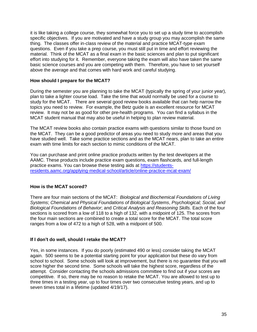it is like taking a college course, they somewhat force you to set up a study time to accomplish specific objectives. If you are motivated and have a study group you may accomplish the same thing. The classes offer in-class review of the material and practice MCAT-type exam questions. Even if you take a prep course, you must still put in time and effort reviewing the material. Think of the MCAT as a final exam in the basic sciences and plan to put significant effort into studying for it. Remember, everyone taking the exam will also have taken the same basic science courses and you are competing with them. Therefore, you have to set yourself above the average and that comes with hard work and careful studying.

# **How should I prepare for the MCAT?**

During the semester you are planning to take the MCAT (typically the spring of your junior year), plan to take a lighter course load. Take the time that would normally be used for a course to study for the MCAT. There are several good review books available that can help narrow the topics you need to review. For example, the Betz guide is an excellent resource for MCAT review. It may not be as good for other pre-health programs. You can find a syllabus in the MCAT student manual that may also be useful in helping to plan review material.

The MCAT review books also contain practice exams with questions similar to those found on the MCAT. They can be a good predictor of areas you need to study more and areas that you have studied well. Take some practice sections and as the MCAT nears, plan to take an entire exam with time limits for each section to mimic conditions of the MCAT.

You can purchase and print online practice products written by the test developers at the AAMC. These products include practice exam questions, exam flashcards, and full-length practice exams. You can browse these testing aids at [https://students](https://students-residents.aamc.org/applying-medical-school/article/online-practice-mcat-exam/)[residents.aamc.org/applying-medical-school/article/online-practice-mcat-exam/](https://students-residents.aamc.org/applying-medical-school/article/online-practice-mcat-exam/)

# **How is the MCAT scored?**

There are four main sections of the MCAT: *Biological and Biochemical Foundations of Living Systems*; *Chemical and Physical Foundations of Biological Systems*, *Psychological; Social, and Biological Foundations of Behavior*; and *Critical Analysis and Reasoning Skills.* Each of the four sections is scored from a low of 118 to a high of 132, with a midpoint of 125. The scores from the four main sections are combined to create a total score for the MCAT. The total score ranges from a low of 472 to a high of 528, with a midpoint of 500.

# **If I don't do well, should I retake the MCAT?**

Yes, in some instances. If you do poorly (estimated 490 or less) consider taking the MCAT again. 500 seems to be a potential starting point for your application but these do vary from school to school. Some schools will look at improvement, but there is no guarantee that you will score higher the second time. Some schools will take the highest score, regardless of the attempt. Consider contacting the schools admissions committee to find out if your scores are competitive. If so, there may be no reason to retake the MCAT. You are allowed to test up to three times in a testing year, up to four times over two consecutive testing years, and up to seven times total in a lifetime (updated 4/19/17).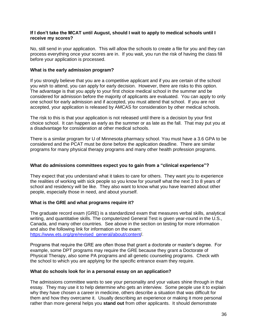# **If I don't take the MCAT until August, should I wait to apply to medical schools until I receive my scores?**

No, still send in your application. This will allow the schools to create a file for you and they can process everything once your scores are in. If you wait, you run the risk of having the class fill before your application is processed.

# **What is the early admission program?**

If you strongly believe that you are a competitive applicant and if you are certain of the school you wish to attend, you can apply for early decision. However, there are risks to this option. The advantage is that you apply to your first choice medical school in the summer and be considered for admission before the majority of applicants are evaluated. You can apply to only one school for early admission and if accepted, you must attend that school. If you are not accepted, your application is released by AMCAS for consideration by other medical schools.

The risk to this is that your application is not released until there is a decision by your first choice school. It can happen as early as the summer or as late as the fall. That may put you at a disadvantage for consideration at other medical schools.

There is a similar program for U of Minnesota pharmacy school. You must have a 3.6 GPA to be considered and the PCAT must be done before the application deadline. There are similar programs for many physical therapy programs and many other health profession programs.

# **What do admissions committees expect you to gain from a "clinical experience"?**

They expect that you understand what it takes to care for others. They want you to experience the realities of working with sick people so you know for yourself what the next 3 to 8 years of school and residency will be like. They also want to know what you have learned about other people, especially those in need, and about yourself.

# **What is the GRE and what programs require it?**

The graduate record exam (GRE) is a standardized exam that measures verbal skills, analytical writing, and quantitative skills. The computerized General Test is given year-round in the U.S., Canada, and many other countries. See above in the section on testing for more information and also the following link for information on the exam: [https://www.ets.org/gre/revised\\_general/about/content/](https://www.ets.org/gre/revised_general/about/content/).

Programs that require the GRE are often those that grant a doctorate or master's degree. For example, some DPT programs may require the GRE because they grant a Doctorate of Physical Therapy, also some PA programs and all genetic counseling programs. Check with the school to which you are applying for the specific entrance exam they require.

# **What do schools look for in a personal essay on an application?**

The admissions committee wants to see your personality and your values shine through in that essay. They may use it to help determine who gets an interview. Some people use it to explain why they have chosen a career in medicine, others describe a situation that was difficult for them and how they overcame it. Usually describing an experience or making it more personal rather than more general helps you **stand out** from other applicants. It should demonstrate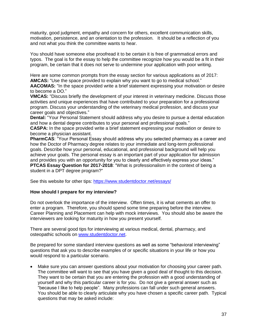maturity, good judgment, empathy and concern for others, excellent communication skills, motivation, persistence, and an orientation to the profession. It should be a reflection of you and not what you think the committee wants to hear.

You should have someone else proofread it to be certain it is free of grammatical errors and typos. The goal is for the essay to help the committee recognize how you would be a fit in their program, be certain that it does not serve to undermine your application with poor writing.

Here are some common prompts from the essay section for various applications as of 2017: **AMCAS:** "Use the space provided to explain why you want to go to medical school."

AACOMAS: "In the space provided write a brief statement expressing your motivation or desire to become a DO."

**VMCAS:** "Discuss briefly the development of your interest in veterinary medicine. Discuss those activities and unique experiences that have contributed to your preparation for a professional program. Discuss your understanding of the veterinary medical profession, and discuss your career goals and objectives."

**Dental:** "Your Personal Statement should address why you desire to pursue a dental education and how a dental degree contributes to your personal and professional goals."

**CASPA:** In the space provided write a brief statement expressing your motivation or desire to become a physician assistant.

**PharmCAS**: "Your Personal Essay should address why you selected pharmacy as a career and how the Doctor of Pharmacy degree relates to your immediate and long-term professional goals. Describe how your personal, educational, and professional background will help you achieve your goals. The personal essay is an important part of your application for admission and provides you with an opportunity for you to clearly and effectively express your ideas." **PTCAS Essay Question for 2017-2018**: "What is professionalism in the context of being a student in a DPT degree program?"

See this website for other tips:<https://www.studentdoctor.net/essays/>

# **How should I prepare for my interview?**

Do not overlook the importance of the interview. Often times, it is what cements an offer to enter a program. Therefore, you should spend some time preparing before the interview. Career Planning and Placement can help with mock interviews. You should also be aware the interviewers are looking for maturity in how you present yourself.

There are several good tips for interviewing at various medical, dental, pharmacy, and osteopathic schools on [www.studentdoctor.net.](http://www.studentdoctor.net/)

Be prepared for some standard interview questions as well as some "behavioral interviewing" questions that ask you to describe examples of or specific situations in your life or how you would respond to a particular scenario.

 Make sure you can answer questions about your motivation for choosing your career path. The committee will want to see that you have given a good deal of thought to this decision. They want to be certain that you are entering the profession with a good understanding of yourself and why this particular career is for you. Do not give a general answer such as "because I like to help people". Many professions can fall under such general answers. You should be able to clearly articulate why you have chosen a specific career path. Typical questions that may be asked include: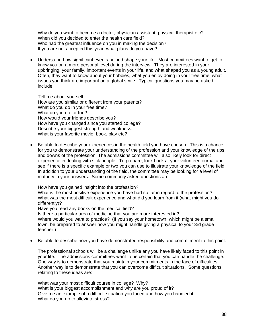Why do you want to become a doctor, physician assistant, physical therapist etc? When did you decided to enter the health care field? Who had the greatest influence on you in making the decision? If you are not accepted this year, what plans do you have?

 Understand how significant events helped shape your life. Most committees want to get to know you on a more personal level during the interview. They are interested in your upbringing, your family, important events in your life, and what shaped you as a young adult. Often, they want to know about your hobbies, what you enjoy doing in your free time, what issues you think are important on a global scale. Typical questions you may be asked include:

Tell me about yourself. How are you similar or different from your parents? What do you do in your free time? What do you do for fun? How would your friends describe you? How have you changed since you started college? Describe your biggest strength and weakness. What is your favorite movie, book, play etc?

 Be able to describe your experiences in the health field you have chosen. This is a chance for you to demonstrate your understanding of the profession and your knowledge of the ups and downs of the profession. The admissions committee will also likely look for direct experience in dealing with sick people. To prepare, look back at your volunteer journal and see if there is a specific example or two you can use to illustrate your knowledge of the field. In addition to your understanding of the field, the committee may be looking for a level of maturity in your answers. Some commonly asked questions are:

How have you gained insight into the profession?

What is the most positive experience you have had so far in regard to the profession? What was the most difficult experience and what did you learn from it (what might you do differently)?

Have you read any books on the medical field?

Is there a particular area of medicine that you are more interested in? Where would you want to practice? (If you say your hometown, which might be a small town, be prepared to answer how you might handle giving a physical to your 3rd grade teacher.)

Be able to describe how you have demonstrated responsibility and commitment to this point.

The professional schools will be a challenge unlike any you have likely faced to this point in your life. The admissions committees want to be certain that you can handle the challenge. One way is to demonstrate that you maintain your commitments in the face of difficulties. Another way is to demonstrate that you can overcome difficult situations. Some questions relating to these ideas are:

What was your most difficult course in college? Why? What is your biggest accomplishment and why are you proud of it? Give me an example of a difficult situation you faced and how you handled it. What do you do to alleviate stress?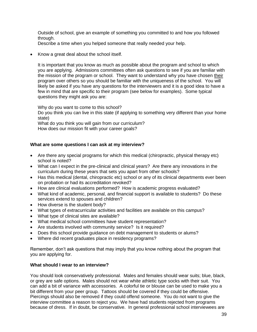Outside of school, give an example of something you committed to and how you followed through.

Describe a time when you helped someone that really needed your help.

Know a great deal about the school itself.

It is important that you know as much as possible about the program and school to which you are applying. Admissions committees often ask questions to see if you are familiar with the mission of the program or school. They want to understand why you have chosen their program over others so you should be familiar with the uniqueness of the school. You will likely be asked if you have any questions for the interviewers and it is a good idea to have a few in mind that are specific to their program (see below for examples). Some typical questions they might ask you are:

Why do you want to come to this school?

Do you think you can live in this state (if applying to something very different than your home state)

What do you think you will gain from our curriculum? How does our mission fit with your career goals?

# **What are some questions I can ask at my interview?**

- Are there any special programs for which this medical (chiropractic, physical therapy etc) school is noted?
- What can I expect in the pre-clinical and clinical years? Are there any innovations in the curriculum during these years that sets you apart from other schools?
- Has this medical (dental, chiropractic etc) school or any of its clinical departments ever been on probation or had its accreditation revoked?
- How are clinical evaluations performed? How is academic progress evaluated?
- What kind of academic, personal, and financial support is available to students? Do these services extend to spouses and children?
- How diverse is the student body?
- What types of extracurricular activities and facilities are available on this campus?
- What type of clinical sites are available?
- What medical school committees have student representation?
- Are students involved with community service? Is it required?
- Does this school provide guidance on debt management to students or alums?
- Where did recent graduates place in residency programs?

Remember, don't ask questions that may imply that you know nothing about the program that you are applying for.

#### **What should I wear to an interview?**

You should look conservatively professional. Males and females should wear suits; blue, black, or grey are safe options. Males should not wear white athletic type socks with their suit. You can add a bit of variance with accessories. A colorful tie or blouse can be used to make you a bit different from your peer group. Tattoos should be covered if they could be offensive. Piercings should also be removed if they could offend someone. You do not want to give the interview committee a reason to reject you. We have had students rejected from programs because of dress. If in doubt, be conservative. In general professional school interviewees are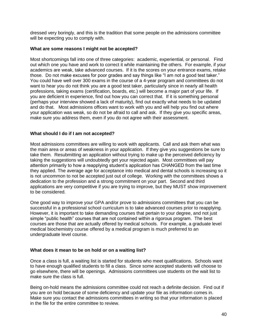dressed very boringly, and this is the tradition that some people on the admissions committee will be expecting you to comply with.

## **What are some reasons I might not be accepted?**

Most shortcomings fall into one of three categories: academic, experiential, or personal. Find out which one you have and work to correct it while maintaining the others. For example, if your academics are weak, take advanced courses. If it is the scores on your entrance exams, retake those. Do not make excuses for poor grades and say things like "I am not a good test taker." You could have well over 300 exams in the course of a 4-year program and committees do not want to hear you do not think you are a good test taker, particularly since in nearly all health professions, taking exams (certification, boards, etc.) will become a major part of your life. If you are deficient in experience, find out how you can correct that. If it is something personal (perhaps your interview showed a lack of maturity), find out exactly what needs to be updated and do that. Most admissions offices want to work with you and will help you find out where your application was weak, so do not be afraid to call and ask. If they give you specific areas, make sure you address them, even if you do not agree with their assessment.

## **What should I do if I am not accepted?**

Most admissions committees are willing to work with applicants. Call and ask them what was the main area or areas of weakness in your application. If they give you suggestions be sure to take them. Resubmitting an application without trying to make up the perceived deficiency by taking the suggestions will undoubtedly get your rejected again. Most committees will pay attention primarily to how a reapplying student's application has CHANGED from the last time they applied. The average age for acceptance into medical and dental schools is increasing so it is not uncommon to not be accepted just out of college. Working with the committees shows a dedication to the profession and a strong commitment on your part. Second and third applications are very competitive if you are trying to improve, but they MUST show improvement to be considered.

One good way to improve your GPA and/or prove to admissions committees that you can be successful in a professional school curriculum is to take advanced courses prior to reapplying. However, it is important to take demanding courses that pertain to your degree, and not just simple "public health" courses that are not contained within a rigorous program. The best courses are those that are actually offered by medical schools. For example, a graduate level medical biochemistry course offered by a medical program is much preferred to an undergraduate level course.

#### **What does it mean to be on hold or on a waiting list?**

Once a class is full, a waiting list is started for students who meet qualifications. Schools want to have enough qualified students to fill a class. Since some accepted students will choose to go elsewhere, there will be openings. Admissions committees use students on the wait list to make sure the class is full.

Being on-hold means the admissions committee could not reach a definite decision. Find out if you are on hold because of some deficiency and update your file as information comes in. Make sure you contact the admissions committees in writing so that your information is placed in the file for the entire committee to review.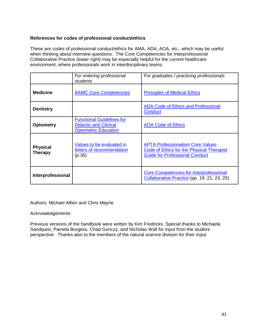# **References for codes of professional conduct/ethics**

These are codes of professional conduct/ethics for AMA, ADA, AOA, etc., which may be useful when thinking about interview questions. The Core Competencies for Interprofessional Collaborative Practice (lower right) may be especially helpful for the current healthcare environment, where professionals work in interdisciplinary teams.

|                                   | For entering professional<br>students                                                           | For graduates / practicing professionals                                                                                             |
|-----------------------------------|-------------------------------------------------------------------------------------------------|--------------------------------------------------------------------------------------------------------------------------------------|
| <b>Medicine</b>                   | <b>AAMC Core Competencies</b>                                                                   | <b>Principles of Medical Ethics</b>                                                                                                  |
| <b>Dentistry</b>                  |                                                                                                 | <b>ADA Code of Ethics and Professional</b><br><b>Conduct</b>                                                                         |
| <b>Optometry</b>                  | <b>Functional Guidelines for</b><br><b>Didactic and Clinical</b><br><b>Optometric Education</b> | <b>AOA Code of Ethics</b>                                                                                                            |
| <b>Physical</b><br><b>Therapy</b> | Values to be evaluated in<br>letters of recommendation<br>(p.35)                                | <b>APTA Professionalism Core Values</b><br><b>Code of Ethics for the Physical Therapist</b><br><b>Guide for Professional Conduct</b> |
| Interprofessional                 |                                                                                                 | <b>Core Competencies for Interprofessional</b><br>Collaborative Practice (pp. 19, 21, 23, 25)                                        |

Authors: Michael Alfieri and Chris Mayne

Acknowledgements:

<span id="page-40-0"></span>Previous versions of the handbook were written by Kim Fredricks. Special thanks to Michaela Sandquist, Pamela Burgess, Chad Gonczy, and Nicholas Wall for input from the student perspective. Thanks also to the members of the natural science division for their input.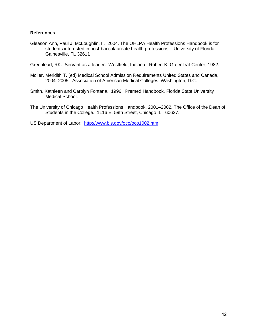# **References**

Gleason Ann, Paul J. McLoughlin, II. 2004. The OHLPA Health Professions Handbook is for students interested in post-baccalaureate health professions. University of Florida. Gainesville, FL 32611

Greenlead, RK. Servant as a leader. Westfield, Indiana: Robert K. Greenleaf Center, 1982.

- Moller, Meridith T. (ed) Medical School Admission Requirements United States and Canada, 2004–2005. Association of American Medical Colleges, Washington, D.C.
- Smith, Kathleen and Carolyn Fontana. 1996. Premed Handbook, Florida State University Medical School.
- The University of Chicago Health Professions Handbook, 2001–2002, The Office of the Dean of Students in the College. 1116 E. 59th Street, Chicago IL 60637.

<span id="page-41-0"></span>US Department of Labor: <http://www.bls.gov/oco/oco1002.htm>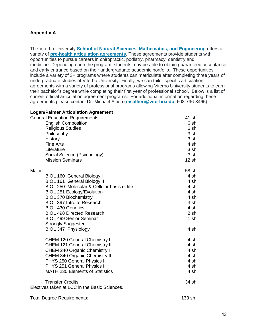# **Appendix A**

The Viterbo University **[School of Natural Sciences, Mathematics, and Engineering](http://www.viterbo.edu/school-natural-sciences-mathematics-and-engineering)** offers a variety of **[pre-health articulation agreements](http://www.viterbo.edu/pre-health-professions)**. These agreements provide students with opportunities to pursue careers in chiropractic, podiatry, pharmacy, dentistry and medicine. Depending upon the program, students may be able to obtain guaranteed acceptance and early entrance based on their undergraduate academic portfolio. These opportunities include a variety of 3+ programs where students can matriculate after completing three years of undergraduate studies at Viterbo University. Finally, we can tailor specific articulation agreements with a variety of professional programs allowing Viterbo University students to earn their bachelor's degree while completing their first year of professional school. Below is a list of current official articulation agreement programs. For additional information regarding these agreements please contact Dr. Michael Alfieri (**[msalfieri@viterbo.edu](mailto:msalfieri@viterbo.edu)**, 608-796-3465).

## **Logan/Palmer Articulation Agreement**

| <b>General Education Requirements:</b>                                    | 41 sh  |
|---------------------------------------------------------------------------|--------|
| <b>English Composition</b>                                                | 6 sh   |
| <b>Religious Studies</b>                                                  | 6 sh   |
| Philosophy                                                                | 3 sh   |
| History                                                                   | 3 sh   |
| <b>Fine Arts</b>                                                          | 4 sh   |
| Literature                                                                | 3 sh   |
| Social Science (Psychology)                                               | 3 sh   |
| <b>Mission Seminars</b>                                                   | 12 sh  |
| Major:                                                                    | 58 sh  |
| BIOL 160 General Biology I                                                | 4 sh   |
| <b>BIOL 161 General Biology II</b>                                        | 4 sh   |
| BIOL 250 Molecular & Cellular basis of life                               | 4 sh   |
| <b>BIOL 251 Ecology/Evolution</b>                                         | 4 sh   |
| <b>BIOL 370 Biochemistry</b>                                              | 4 sh   |
| <b>BIOL 397 Intro to Research</b>                                         | 3 sh   |
| <b>BIOL 430 Genetics</b>                                                  | 4 sh   |
| <b>BIOL 498 Directed Research</b>                                         | 2 sh   |
| <b>BIOL 499 Senior Seminar</b>                                            | $1$ sh |
| <b>Strongly Suggested:</b>                                                |        |
| BIOL 347 Physiology                                                       | 4 sh   |
| <b>CHEM 120 General Chemistry I</b>                                       | 4 sh   |
| <b>CHEM 121 General Chemistry II</b>                                      | 4 sh   |
| CHEM 240 Organic Chemistry I                                              | 4 sh   |
| CHEM 340 Organic Chemistry II                                             | 4 sh   |
| PHYS 250 General Physics I                                                | 4 sh   |
| PHYS 251 General Physics II                                               | 4 sh   |
| <b>MATH 230 Elements of Statistics</b>                                    | 4 sh   |
| <b>Transfer Credits:</b><br>Electives taken at LCC in the Basic Sciences. | 34 sh  |
| <b>Total Degree Requirements:</b>                                         | 133 sh |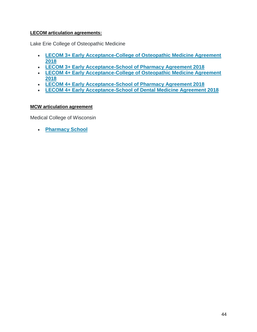# **LECOM articulation agreements:**

Lake Erie College of Osteopathic Medicine

- **[LECOM 3+ Early Acceptance-College of Osteopathic Medicine Agreement](http://www3.viterbo.edu/sites/default/files/lecom_3_early_acceptance-college_of_osteopathic_medicine_agreement_2018_0.pdf)  [2018](http://www3.viterbo.edu/sites/default/files/lecom_3_early_acceptance-college_of_osteopathic_medicine_agreement_2018_0.pdf)**
- **[LECOM 3+ Early Acceptance-School of Pharmacy Agreement 2018](http://www3.viterbo.edu/sites/default/files/lecom_3_early_acceptance-school_of_pharmacy_agreement_2018.pdf)**
- **[LECOM 4+ Early Acceptance-College of Osteopathic Medicine Agreement](http://www3.viterbo.edu/sites/default/files/lecom_4_early_acceptance-college_of_osteopathic_medicine_agreement_2018.pdf)  [2018](http://www3.viterbo.edu/sites/default/files/lecom_4_early_acceptance-college_of_osteopathic_medicine_agreement_2018.pdf)**
- **[LECOM 4+ Early Acceptance-School of Pharmacy Agreement 2018](http://www3.viterbo.edu/sites/default/files/lecom_4_early_acceptance-school_of_pharmacy_agreement_2018.pdf)**
- **[LECOM 4+ Early Acceptance-School of Dental Medicine Agreement 2018](http://www3.viterbo.edu/sites/default/files/lecom_4_early_acceptance-school_of_dental_medicine_agreement_2018.pdf)**

# **MCW articulation agreement**

Medical College of Wisconsin

**[Pharmacy School](https://www4.viterbo.edu/biology-biochemistry-and-biopsychology/medical-college-wisconsin-pharmacy-agreement)**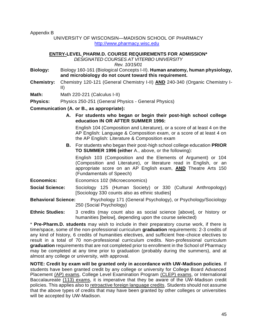Appendix B

# UNIVERSITY OF WISCONSIN—MADISON SCHOOL OF PHARMACY [http://www.pharmacy.wisc.edu](file:///C:/Users/Public/Desktop/Mozilla%20Firefox.lnk)

# **ENTRY-LEVEL PHARM.D. COURSE REQUIREMENTS FOR ADMISSION\***

*DESIGNATED COURSES AT VITERBO UNIVERSITY* 

*Rev. 10/15/01*

- **Biology:** Biology 160-161 (Biological Concepts I-II). **Human anatomy, human physiology, and microbiology do not count toward this requirement.**
- **Chemistry:** Chemistry 120-121 (General Chemistry I-II) **AND** 240-340 (Organic Chemistry I-II)

**Math:** Math 220-221 (Calculus I-II)

**Physics:** Physics 250-251 (General Physics - General Physics)

**Communication (A. or B., as appropriate):**

**A. For students who began or begin their post-high school college education IN OR AFTER SUMMER 1996:**

English 104 (Composition and Literature), or a score of at least 4 on the AP English: Language & Composition exam, or a score of at least 4 on the AP English: Literature & Composition exam

**B.** For students who began their post-high school college education **PRIOR TO SUMMER 1996 (either** A., above, or the following):

English 103 (Composition and the Elements of Argument) or 104 (Composition and Literature), or literature read in English, or an appropriate score on an AP English exam, **AND** Theatre Arts 150 (Fundamentals of Speech)

**Economics:** Economics 102 (Microeconomics)

**Social Science:** Sociology 125 (Human Society) or 330 (Cultural Anthropology) [Sociology 330 counts also as ethnic studies]

**Behavioral Science:** Psychology 171 (General Psychology), or Psychology/Sociology 250 (Social Psychology)

**Ethnic Studies:** 3 credits (may count also as social science [above], or history or humanities [below], depending upon the course selected)

\* **Pre-Pharm.D. students** may wish to include in their preparatory course work, if there is time/space, some of the non-professional curriculum **graduation** requirements: 2-3 credits of any kind of history, 6 credits of humanities electives, and sufficient free-choice electives to result in a total of 70 non-professional curriculum credits. Non-professional curriculum **graduation** requirements that are not completed prior to enrollment in the School of Pharmacy may be completed at any time prior to graduation (probably during the summers), and at almost any college or university, with approval.

**NOTE: Credit by exam will be granted only in accordance with UW-Madison policies**. If students have been granted credit by any college or university for College Board Advanced Placement (AP) exams, College Level Examination Program (CLEP) exams, or International Baccalaureate (113) exams, it is imperative that they be aware of the UW-Madison credit policies. This applies also to retroactive foreign language credits. Students should not assume that the above types of credits that may have been granted by other colleges or universities will be accepted by UW-Madison.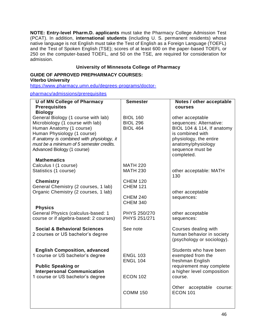**NOTE: Entry-level Pharm.D. applicants** must take the Pharmacy College Admission Test (PCAT). In addition, **international students** (including U. S. permanent residents) whose native language is not English must take the Test of English as a Foreign Language (TOEFL) and the Test of Spoken English (TSE); scores of at least 600 on the paper-based TOEFL or 250 on the computer-based TOEFL, and 50 on the TSE, are required for consideration for admission.

# **University of Minnesota College of Pharmacy**

#### **GUIDE OF APPROVED PREPHARMACY COURSES: Viterbo University**

[https://www.pharmacy.umn.edu/degrees-programs/doctor-](https://www.pharmacy.umn.edu/degrees-programs/doctor-pharmacy/admissions/prerequisites)

[pharmacy/admissions/prerequisites](https://www.pharmacy.umn.edu/degrees-programs/doctor-pharmacy/admissions/prerequisites)

| <b>U</b> of MN College of Pharmacy                           | <b>Semester</b>                    | Notes / other acceptable                              |
|--------------------------------------------------------------|------------------------------------|-------------------------------------------------------|
| <b>Prerequisites</b>                                         |                                    | courses                                               |
| <b>Biology</b>                                               |                                    |                                                       |
| General Biology (1 course with lab)                          | <b>BIOL 160</b>                    | other acceptable                                      |
| Microbiology (1 course with lab)<br>Human Anatomy (1 course) | <b>BIOL 296</b><br><b>BIOL 464</b> | sequences: Alternative:<br>BIOL 104 & 114, If anatomy |
| Human Physiology (1 course)                                  |                                    | is combined with                                      |
| If anatomy is combined with physiology, it                   |                                    | physiology, the entire                                |
| must be a minimum of 5 semester credits.                     |                                    | anatomy/physiology                                    |
| Advanced Biology (1 course)                                  |                                    | sequence must be                                      |
|                                                              |                                    | completed.                                            |
| <b>Mathematics</b>                                           |                                    |                                                       |
| Calculus I (1 course)                                        | <b>MATH 220</b>                    |                                                       |
| Statistics (1 course)                                        | <b>MATH 230</b>                    | other acceptable: MATH                                |
|                                                              |                                    | 130                                                   |
| <b>Chemistry</b>                                             | <b>CHEM 120</b>                    |                                                       |
| General Chemistry (2 courses, 1 lab)                         | <b>CHEM 121</b>                    |                                                       |
| Organic Chemistry (2 courses, 1 lab)                         | <b>CHEM 240</b>                    | other acceptable<br>sequences:                        |
|                                                              | <b>CHEM 340</b>                    |                                                       |
| <b>Physics</b>                                               |                                    |                                                       |
| General Physics (calculus-based: 1                           | PHYS 250/270                       | other acceptable                                      |
| course or if algebra-based: 2 courses)                       | PHYS 251/271                       | sequences:                                            |
|                                                              |                                    |                                                       |
| <b>Social &amp; Behavioral Sciences</b>                      | See note                           | Courses dealing with                                  |
| 2 courses or US bachelor's degree                            |                                    | human behavior in society                             |
|                                                              |                                    | (psychology or sociology).                            |
| <b>English Composition, advanced</b>                         |                                    | Students who have been                                |
| 1 course or US bachelor's degree                             | <b>ENGL 103</b>                    | exempted from the                                     |
|                                                              | <b>ENGL 104</b>                    | freshman English                                      |
| <b>Public Speaking or</b>                                    |                                    | requirement may complete                              |
| <b>Interpersonal Communication</b>                           |                                    | a higher level composition                            |
| 1 course or US bachelor's degree                             | <b>ECON 102</b>                    | course.                                               |
|                                                              |                                    |                                                       |
|                                                              |                                    | Other acceptable<br>course:                           |
|                                                              | <b>COMM 150</b>                    | <b>ECON 101</b>                                       |
|                                                              |                                    |                                                       |
|                                                              |                                    |                                                       |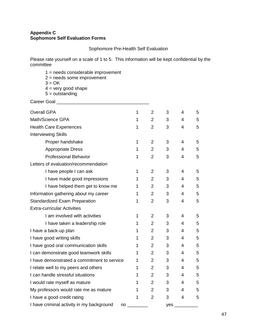# **Appendix C Sophomore Self Evaluation Forms**

Sophomore Pre-Health Self Evaluation

Please rate yourself on a scale of 1 to 5. This information will be kept confidential by the committee

- 1 = needs considerable improvement
- 2 = needs some improvement
- $3 = OK$
- $4 =$  very good shape
- $5 =$  outstanding

Career Goal \_\_\_\_\_\_\_\_\_\_\_\_\_\_\_\_\_\_\_\_\_\_\_\_\_\_\_\_\_\_\_\_\_\_\_\_

| <b>Overall GPA</b>                                               | 1            | $\overline{2}$ | 3              | 4              | 5 |
|------------------------------------------------------------------|--------------|----------------|----------------|----------------|---|
| Math/Science GPA                                                 |              | $\overline{2}$ | 3              | 4              | 5 |
| <b>Health Care Experiences</b>                                   | $\mathbf 1$  | $\overline{2}$ | 3              | 4              | 5 |
| <b>Interviewing Skills</b>                                       |              |                |                |                |   |
| Proper handshake                                                 | 1            | $\overline{2}$ | 3              | 4              | 5 |
| <b>Appropriate Dress</b>                                         | 1            | $\overline{2}$ | 3              | $\overline{4}$ | 5 |
| <b>Professional Behavior</b>                                     | 1            | $\overline{2}$ | 3              | 4              | 5 |
| Letters of evaluation/recommendation                             |              |                |                |                |   |
| I have people I can ask                                          | $\mathbf 1$  | $\overline{2}$ | 3              | 4              | 5 |
| I have made good impressions                                     | 1            | $\overline{2}$ | 3              | 4              | 5 |
| I have helped them get to know me                                | 1            | $\overline{2}$ | 3              | 4              | 5 |
| Information gathering about my career                            | 1            | $\overline{2}$ | 3              | 4              | 5 |
| <b>Standardized Exam Preparation</b>                             | 1            | $\overline{2}$ | 3              | 4              | 5 |
| <b>Extra-curricular Activities</b>                               |              |                |                |                |   |
| I am involved with activities                                    | 1            | $\overline{2}$ | 3              | 4              | 5 |
| I have taken a leadership role                                   | 1            | $\overline{2}$ | 3              | 4              | 5 |
| I have a back-up plan                                            | 1            | $\overline{2}$ | 3              | 4              | 5 |
| I have good writing skills                                       | 1            | $\overline{2}$ | 3              | 4              | 5 |
| I have good oral communication skills                            | 1            | $\overline{2}$ | 3              | 4              | 5 |
| I can demonstrate good teamwork skills                           | $\mathbf 1$  | $\overline{2}$ | 3              | $\overline{4}$ | 5 |
| I have demonstrated a commitment to service                      | 1            | $\overline{2}$ | 3              | 4              | 5 |
| I relate well to my peers and others                             | 1            | $\overline{2}$ | 3              | 4              | 5 |
| I can handle stressful situations                                | 1            | $\overline{2}$ | 3              | 4              | 5 |
| I would rate myself as mature                                    | 1            | $\overline{2}$ | 3 <sup>7</sup> | 4              | 5 |
| My professors would rate me as mature                            | $\mathbf{1}$ | $\overline{2}$ | 3              | 4              | 5 |
| I have a good credit rating                                      | $\mathbf{1}$ | $\overline{2}$ | 3              | $\overline{4}$ | 5 |
| I have criminal activity in my background<br>$no$ <sub>___</sub> |              |                | yes            |                |   |
|                                                                  |              |                |                |                |   |